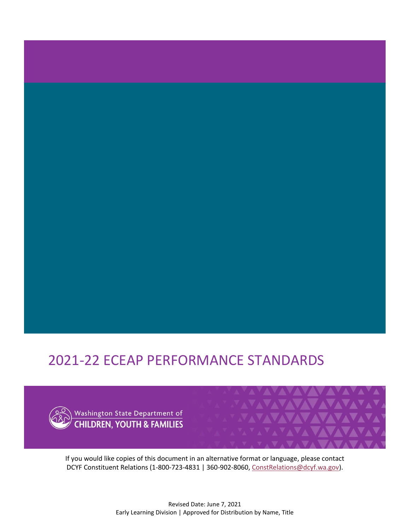# 2021-22 ECEAP PERFORMANCE STANDARDS



If you would like copies of this document in an alternative format or language, please contact DCYF Constituent Relations (1-800-723-4831 | 360-902-8060, [ConstRelations@dcyf.wa.gov\)](mailto:ConstRelations@dcyf.wa.gov).

AVAVAVAVAV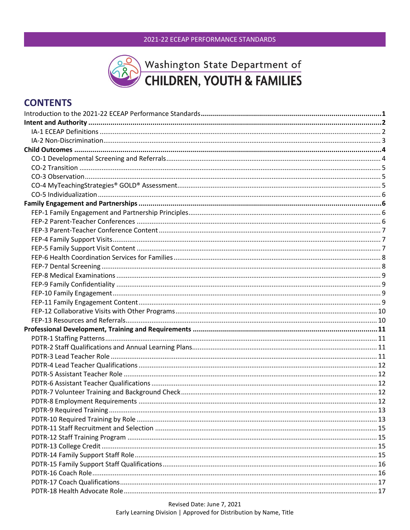

# **CONTENTS**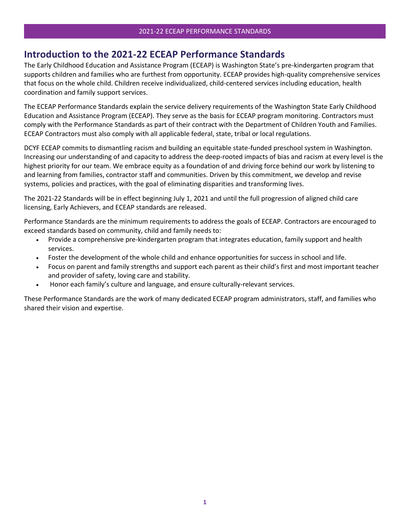# <span id="page-5-0"></span>**Introduction to the 2021-22 ECEAP Performance Standards**

The Early Childhood Education and Assistance Program (ECEAP) is Washington State's pre-kindergarten program that supports children and families who are furthest from opportunity. ECEAP provides high-quality comprehensive services that focus on the whole child. Children receive individualized, child-centered services including education, health coordination and family support services.

The ECEAP Performance Standards explain the service delivery requirements of the Washington State Early Childhood Education and Assistance Program (ECEAP). They serve as the basis for ECEAP program monitoring. Contractors must comply with the Performance Standards as part of their contract with the Department of Children Youth and Families. ECEAP Contractors must also comply with all applicable federal, state, tribal or local regulations.

DCYF ECEAP commits to dismantling racism and building an equitable state-funded preschool system in Washington. Increasing our understanding of and capacity to address the deep-rooted impacts of bias and racism at every level is the highest priority for our team. We embrace equity as a foundation of and driving force behind our work by listening to and learning from families, contractor staff and communities. Driven by this commitment, we develop and revise systems, policies and practices, with the goal of eliminating disparities and transforming lives.

The 2021-22 Standards will be in effect beginning July 1, 2021 and until the full progression of aligned child care licensing, Early Achievers, and ECEAP standards are released.

Performance Standards are the minimum requirements to address the goals of ECEAP. Contractors are encouraged to exceed standards based on community, child and family needs to:

- Provide a comprehensive pre-kindergarten program that integrates education, family support and health services.
- Foster the development of the whole child and enhance opportunities for success in school and life.
- Focus on parent and family strengths and support each parent as their child's first and most important teacher and provider of safety, loving care and stability.
- Honor each family's culture and language, and ensure culturally-relevant services.

These Performance Standards are the work of many dedicated ECEAP program administrators, staff, and families who shared their vision and expertise.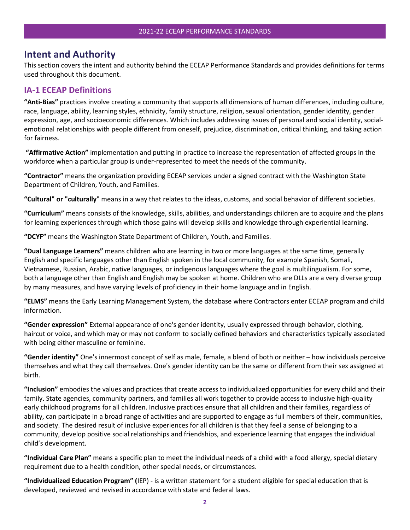# <span id="page-6-0"></span>**Intent and Authority**

This section covers the intent and authority behind the ECEAP Performance Standards and provides definitions for terms used throughout this document.

#### <span id="page-6-1"></span>**IA-1 ECEAP Definitions**

**"Anti-Bias"** practices involve creating a community that supports all dimensions of human differences, including culture, race, language, ability, learning styles, ethnicity, family structure, religion, sexual orientation, gender identity, gender expression, age, and socioeconomic differences. Which includes addressing issues of personal and social identity, socialemotional relationships with people different from oneself, prejudice, discrimination, critical thinking, and taking action for fairness.

**"Affirmative Action"** implementation and putting in practice to increase the representation of affected groups in the workforce when a particular group is under-represented to meet the needs of the community.

**"Contractor"** means the organization providing ECEAP services under a signed contract with the Washington State Department of Children, Youth, and Families.

**"Cultural" or "culturally**" means in a way that relates to the ideas, customs, and social behavior of different societies.

**"Curriculum"** means consists of the knowledge, skills, abilities, and understandings children are to acquire and the plans for learning experiences through which those gains will develop skills and knowledge through experiential learning.

**"DCYF"** means the Washington State Department of Children, Youth, and Families.

**"Dual Language Learners"** means children who are learning in two or more languages at the same time, generally English and specific languages other than English spoken in the local community, for example Spanish, Somali, Vietnamese, Russian, Arabic, native languages, or indigenous languages where the goal is multilingualism. For some, both a language other than English and English may be spoken at home. Children who are DLLs are a very diverse group by many measures, and have varying levels of proficiency in their home language and in English.

**"ELMS"** means the Early Learning Management System, the database where Contractors enter ECEAP program and child information.

**"Gender expression"** External appearance of one's gender identity, usually expressed through behavior, clothing, haircut or voice, and which may or may not conform to socially defined behaviors and characteristics typically associated with being either masculine or feminine.

**"Gender identity"** One's innermost concept of self as male, female, a blend of both or neither – how individuals perceive themselves and what they call themselves. One's gender identity can be the same or different from their sex assigned at birth.

**"Inclusion"** embodies the values and practices that create access to individualized opportunities for every child and their family. State agencies, community partners, and families all work together to provide access to inclusive high-quality early childhood programs for all children. Inclusive practices ensure that all children and their families, regardless of ability, can participate in a broad range of activities and are supported to engage as full members of their, communities, and society. The desired result of inclusive experiences for all children is that they feel a sense of belonging to a community, develop positive social relationships and friendships, and experience learning that engages the individual child's development.

**"Individual Care Plan"** means a specific plan to meet the individual needs of a child with a food allergy, special dietary requirement due to a health condition, other special needs, or circumstances.

**"Individualized Education Program" (**IEP) - is a written statement for a student eligible for special education that is developed, reviewed and revised in accordance with state and federal laws.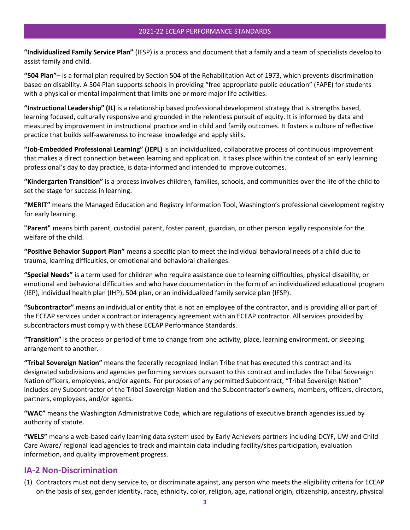**"Individualized Family Service Plan"** (IFSP) is a process and document that a family and a team of specialists develop to assist family and child.

**"504 Plan"**– is a formal plan required by Section 504 of the Rehabilitation Act of 1973, which prevents discrimination based on disability. A 504 Plan supports schools in providing "free appropriate public education" (FAPE) for students with a physical or mental impairment that limits one or more major life activities.

**"Instructional Leadership" (IL)** is a relationship based professional development strategy that is strengths based, learning focused, culturally responsive and grounded in the relentless pursuit of equity. It is informed by data and measured by improvement in instructional practice and in child and family outcomes. It fosters a culture of reflective practice that builds self-awareness to increase knowledge and apply skills.

**"Job-Embedded Professional Learning" (JEPL)** is an individualized, collaborative process of continuous improvement that makes a direct connection between learning and application. It takes place within the context of an early learning professional's day to day practice, is data-informed and intended to improve outcomes.

**"Kindergarten Transition"** is a process involves children, families, schools, and communities over the life of the child to set the stage for success in learning.

**"MERIT"** means the Managed Education and Registry Information Tool, Washington's professional development registry for early learning.

**"Parent"** means birth parent, custodial parent, foster parent, guardian, or other person legally responsible for the welfare of the child.

**"Positive Behavior Support Plan"** means a specific plan to meet the individual behavioral needs of a child due to trauma, learning difficulties, or emotional and behavioral challenges.

**"Special Needs"** is a term used for children who require assistance due to learning difficulties, physical disability, or emotional and behavioral difficulties and who have documentation in the form of an individualized educational program (IEP), individual health plan (IHP), 504 plan, or an individualized family service plan (IFSP).

**"Subcontractor"** means an individual or entity that is not an employee of the contractor, and is providing all or part of the ECEAP services under a contract or interagency agreement with an ECEAP contractor. All services provided by subcontractors must comply with these ECEAP Performance Standards.

**"Transition"** is the process or period of time to change from one activity, place, learning environment, or sleeping arrangement to another.

**"Tribal Sovereign Nation"** means the federally recognized Indian Tribe that has executed this contract and its designated subdivisions and agencies performing services pursuant to this contract and includes the Tribal Sovereign Nation officers, employees, and/or agents. For purposes of any permitted Subcontract, "Tribal Sovereign Nation" includes any Subcontractor of the Tribal Sovereign Nation and the Subcontractor's owners, members, officers, directors, partners, employees, and/or agents.

**"WAC"** means the Washington Administrative Code, which are regulations of executive branch agencies issued by authority of statute.

**"WELS"** means a web-based early learning data system used by Early Achievers partners including DCYF, UW and Child Care Aware/ regional lead agencies to track and maintain data including facility/sites participation, evaluation information, and quality improvement progress.

# <span id="page-7-0"></span>**IA-2 Non-Discrimination**

(1) Contractors must not deny service to, or discriminate against, any person who meets the eligibility criteria for ECEAP on the basis of sex, gender identity, race, ethnicity, color, religion, age, national origin, citizenship, ancestry, physical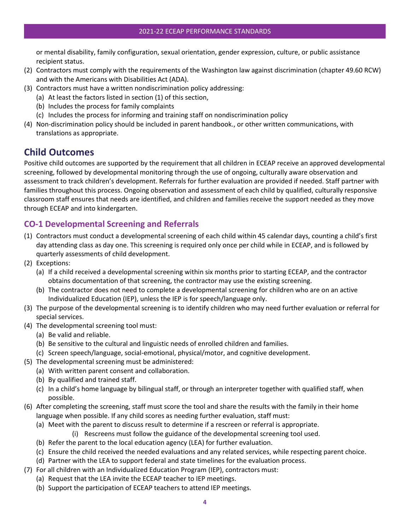or mental disability, family configuration, sexual orientation, gender expression, culture, or public assistance recipient status.

- (2) Contractors must comply with the requirements of the Washington law against discrimination (chapter 49.60 RCW) and with the Americans with Disabilities Act (ADA).
- (3) Contractors must have a written nondiscrimination policy addressing:
	- (a) At least the factors listed in section (1) of this section,
	- (b) Includes the process for family complaints
	- (c) Includes the process for informing and training staff on nondiscrimination policy
- (4) Non-discrimination policy should be included in parent handbook., or other written communications, with translations as appropriate.

# <span id="page-8-0"></span>**Child Outcomes**

Positive child outcomes are supported by the requirement that all children in ECEAP receive an approved developmental screening, followed by developmental monitoring through the use of ongoing, culturally aware observation and assessment to track children's development. Referrals for further evaluation are provided if needed. Staff partner with families throughout this process. Ongoing observation and assessment of each child by qualified, culturally responsive classroom staff ensures that needs are identified, and children and families receive the support needed as they move through ECEAP and into kindergarten.

# <span id="page-8-1"></span>**CO-1 Developmental Screening and Referrals**

- (1) Contractors must conduct a developmental screening of each child within 45 calendar days, counting a child's first day attending class as day one. This screening is required only once per child while in ECEAP, and is followed by quarterly assessments of child development.
- (2) Exceptions:
	- (a) If a child received a developmental screening within six months prior to starting ECEAP, and the contractor obtains documentation of that screening, the contractor may use the existing screening.
	- (b) The contractor does not need to complete a developmental screening for children who are on an active Individualized Education (IEP), unless the IEP is for speech/language only.
- (3) The purpose of the developmental screening is to identify children who may need further evaluation or referral for special services.
- (4) The developmental screening tool must:
	- (a) Be valid and reliable.
	- (b) Be sensitive to the cultural and linguistic needs of enrolled children and families.
	- (c) Screen speech/language, social-emotional, physical/motor, and cognitive development.
- (5) The developmental screening must be administered:
	- (a) With written parent consent and collaboration.
		- (b) By qualified and trained staff.
		- (c) In a child's home language by bilingual staff, or through an interpreter together with qualified staff, when possible.
- (6) After completing the screening, staff must score the tool and share the results with the family in their home language when possible. If any child scores as needing further evaluation, staff must:
	- (a) Meet with the parent to discuss result to determine if a rescreen or referral is appropriate.
		- (i) Rescreens must follow the guidance of the developmental screening tool used.
	- (b) Refer the parent to the local education agency (LEA) for further evaluation.
	- (c) Ensure the child received the needed evaluations and any related services, while respecting parent choice.
	- (d) Partner with the LEA to support federal and state timelines for the evaluation process.
- (7) For all children with an Individualized Education Program (IEP), contractors must:
	- (a) Request that the LEA invite the ECEAP teacher to IEP meetings.
	- (b) Support the participation of ECEAP teachers to attend IEP meetings.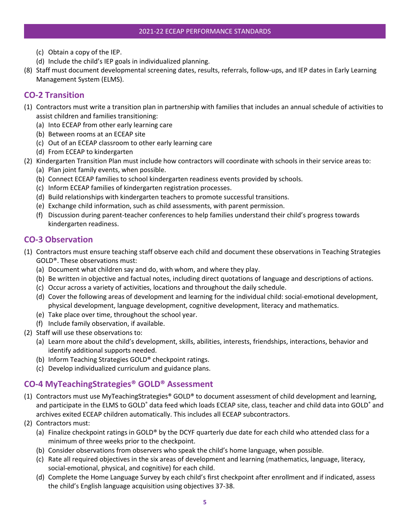- (c) Obtain a copy of the IEP.
- (d) Include the child's IEP goals in individualized planning.
- (8) Staff must document developmental screening dates, results, referrals, follow-ups, and IEP dates in Early Learning Management System (ELMS).

# <span id="page-9-0"></span>**CO-2 Transition**

- (1) Contractors must write a transition plan in partnership with families that includes an annual schedule of activities to assist children and families transitioning:
	- (a) Into ECEAP from other early learning care
	- (b) Between rooms at an ECEAP site
	- (c) Out of an ECEAP classroom to other early learning care
	- (d) From ECEAP to kindergarten
- (2) Kindergarten Transition Plan must include how contractors will coordinate with schools in their service areas to:
	- (a) Plan joint family events, when possible.
	- (b) Connect ECEAP families to school kindergarten readiness events provided by schools.
	- (c) Inform ECEAP families of kindergarten registration processes.
	- (d) Build relationships with kindergarten teachers to promote successful transitions.
	- (e) Exchange child information, such as child assessments, with parent permission.
	- (f) Discussion during parent-teacher conferences to help families understand their child's progress towards kindergarten readiness.

#### <span id="page-9-1"></span>**CO-3 Observation**

- (1) Contractors must ensure teaching staff observe each child and document these observations in Teaching Strategies GOLD®. These observations must:
	- (a) Document what children say and do, with whom, and where they play.
	- (b) Be written in objective and factual notes, including direct quotations of language and descriptions of actions.
	- (c) Occur across a variety of activities, locations and throughout the daily schedule.
	- (d) Cover the following areas of development and learning for the individual child: social-emotional development, physical development, language development, cognitive development, literacy and mathematics.
	- (e) Take place over time, throughout the school year.
	- (f) Include family observation, if available.
- (2) Staff will use these observations to:
	- (a) Learn more about the child's development, skills, abilities, interests, friendships, interactions, behavior and identify additional supports needed.
	- (b) Inform Teaching Strategies GOLD® checkpoint ratings.
	- (c) Develop individualized curriculum and guidance plans.

# <span id="page-9-2"></span>**CO-4 MyTeachingStrategies® GOLD® Assessment**

- (1) Contractors must use MyTeachingStrategies® GOLD® to document assessment of child development and learning, and participate in the ELMS to GOLD<sup>®</sup> data feed which loads ECEAP site, class, teacher and child data into GOLD<sup>®</sup> and archives exited ECEAP children automatically. This includes all ECEAP subcontractors.
- (2) Contractors must:
	- (a) Finalize checkpoint ratings in GOLD® by the DCYF quarterly due date for each child who attended class for a minimum of three weeks prior to the checkpoint.
	- (b) Consider observations from observers who speak the child's home language, when possible.
	- (c) Rate all required objectives in the six areas of development and learning (mathematics, language, literacy, social-emotional, physical, and cognitive) for each child.
	- (d) Complete the Home Language Survey by each child's first checkpoint after enrollment and if indicated, assess the child's English language acquisition using objectives 37-38.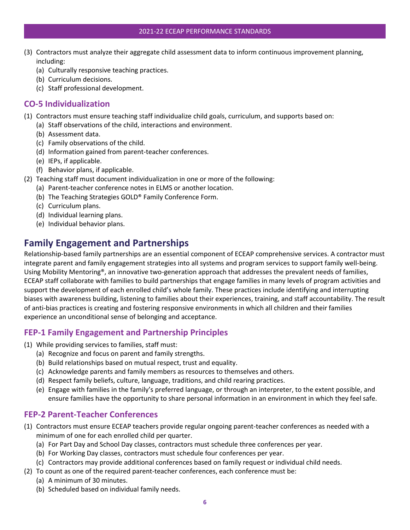#### 2021-22 ECEAP PERFORMANCE STANDARDS

- (3) Contractors must analyze their aggregate child assessment data to inform continuous improvement planning, including:
	- (a) Culturally responsive teaching practices.
	- (b) Curriculum decisions.
	- (c) Staff professional development.

# <span id="page-10-0"></span>**CO-5 Individualization**

- (1) Contractors must ensure teaching staff individualize child goals, curriculum, and supports based on:
	- (a) Staff observations of the child, interactions and environment.
	- (b) Assessment data.
	- (c) Family observations of the child.
	- (d) Information gained from parent-teacher conferences.
	- (e) IEPs, if applicable.
	- (f) Behavior plans, if applicable.
- (2) Teaching staff must document individualization in one or more of the following:
	- (a) Parent-teacher conference notes in ELMS or another location.
	- (b) The Teaching Strategies GOLD® Family Conference Form.
	- (c) Curriculum plans.
	- (d) Individual learning plans.
	- (e) Individual behavior plans.

# <span id="page-10-1"></span>**Family Engagement and Partnerships**

Relationship-based family partnerships are an essential component of ECEAP comprehensive services. A contractor must integrate parent and family engagement strategies into all systems and program services to support family well-being. Using Mobility Mentoring®, an innovative two-generation approach that addresses the prevalent needs of families, ECEAP staff collaborate with families to build partnerships that engage families in many levels of program activities and support the development of each enrolled child's whole family. These practices include identifying and interrupting biases with awareness building, listening to families about their experiences, training, and staff accountability. The result of anti-bias practices is creating and fostering responsive environments in which all children and their families experience an unconditional sense of belonging and acceptance.

# <span id="page-10-2"></span>**FEP-1 Family Engagement and Partnership Principles**

- (1) While providing services to families, staff must:
	- (a) Recognize and focus on parent and family strengths.
	- (b) Build relationships based on mutual respect, trust and equality.
	- (c) Acknowledge parents and family members as resources to themselves and others.
	- (d) Respect family beliefs, culture, language, traditions, and child rearing practices.
	- (e) Engage with families in the family's preferred language, or through an interpreter, to the extent possible, and ensure families have the opportunity to share personal information in an environment in which they feel safe.

# <span id="page-10-3"></span>**FEP-2 Parent-Teacher Conferences**

- (1) Contractors must ensure ECEAP teachers provide regular ongoing parent-teacher conferences as needed with a minimum of one for each enrolled child per quarter.
	- (a) For Part Day and School Day classes, contractors must schedule three conferences per year.
	- (b) For Working Day classes, contractors must schedule four conferences per year.
	- (c) Contractors may provide additional conferences based on family request or individual child needs.
- (2) To count as one of the required parent-teacher conferences, each conference must be:
	- (a) A minimum of 30 minutes.
	- (b) Scheduled based on individual family needs.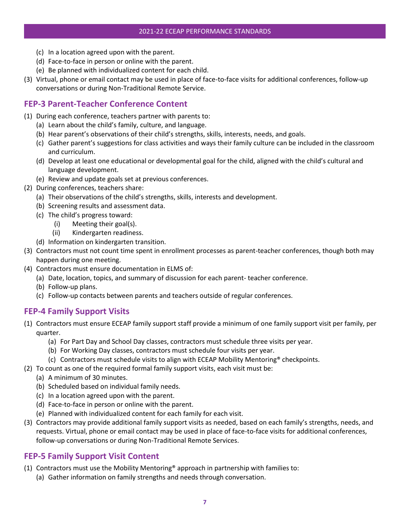- (c) In a location agreed upon with the parent.
- (d) Face-to-face in person or online with the parent.
- (e) Be planned with individualized content for each child.
- (3) Virtual, phone or email contact may be used in place of face-to-face visits for additional conferences, follow-up conversations or during Non-Traditional Remote Service.

# <span id="page-11-0"></span>**FEP-3 Parent-Teacher Conference Content**

- (1) During each conference, teachers partner with parents to:
	- (a) Learn about the child's family, culture, and language.
	- (b) Hear parent's observations of their child's strengths, skills, interests, needs, and goals.
	- (c) Gather parent's suggestions for class activities and ways their family culture can be included in the classroom and curriculum.
	- (d) Develop at least one educational or developmental goal for the child, aligned with the child's cultural and language development.
	- (e) Review and update goals set at previous conferences.
- (2) During conferences, teachers share:
	- (a) Their observations of the child's strengths, skills, interests and development.
	- (b) Screening results and assessment data.
	- (c) The child's progress toward:
		- (i) Meeting their goal(s).
		- (ii) Kindergarten readiness.
	- (d) Information on kindergarten transition.
- (3) Contractors must not count time spent in enrollment processes as parent-teacher conferences, though both may happen during one meeting.
- (4) Contractors must ensure documentation in ELMS of:
	- (a) Date, location, topics, and summary of discussion for each parent- teacher conference.
	- (b) Follow-up plans.
	- (c) Follow-up contacts between parents and teachers outside of regular conferences.

#### <span id="page-11-1"></span>**FEP-4 Family Support Visits**

- (1) Contractors must ensure ECEAP family support staff provide a minimum of one family support visit per family, per quarter.
	- (a) For Part Day and School Day classes, contractors must schedule three visits per year.
	- (b) For Working Day classes, contractors must schedule four visits per year.
	- (c) Contractors must schedule visits to align with ECEAP Mobility Mentoring® checkpoints.
- (2) To count as one of the required formal family support visits, each visit must be:
	- (a) A minimum of 30 minutes.
	- (b) Scheduled based on individual family needs.
	- (c) In a location agreed upon with the parent.
	- (d) Face-to-face in person or online with the parent.
	- (e) Planned with individualized content for each family for each visit.
- (3) Contractors may provide additional family support visits as needed, based on each family's strengths, needs, and requests. Virtual, phone or email contact may be used in place of face-to-face visits for additional conferences, follow-up conversations or during Non-Traditional Remote Services.

#### <span id="page-11-2"></span>**FEP-5 Family Support Visit Content**

- (1) Contractors must use the Mobility Mentoring® approach in partnership with families to:
	- (a) Gather information on family strengths and needs through conversation.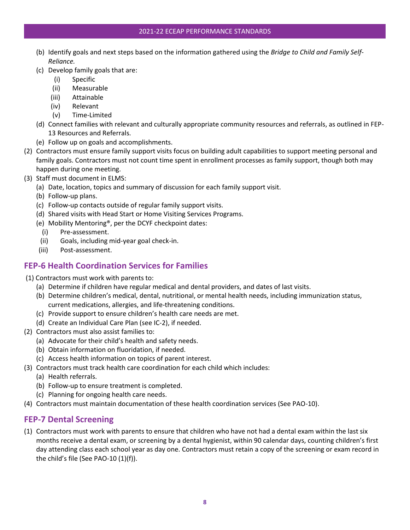#### 2021-22 ECEAP PERFORMANCE STANDARDS

- (b) Identify goals and next steps based on the information gathered using the *Bridge to Child and Family Self-Reliance.*
- (c) Develop family goals that are:
	- (i) Specific
	- (ii) Measurable
	- (iii) Attainable
	- (iv) Relevant
	- (v) Time-Limited
- (d) Connect families with relevant and culturally appropriate community resources and referrals, as outlined in FEP-13 Resources and Referrals.
- (e) Follow up on goals and accomplishments.
- (2) Contractors must ensure family support visits focus on building adult capabilities to support meeting personal and family goals. Contractors must not count time spent in enrollment processes as family support, though both may happen during one meeting.
- (3) Staff must document in ELMS:
	- (a) Date, location, topics and summary of discussion for each family support visit.
	- (b) Follow-up plans.
	- (c) Follow-up contacts outside of regular family support visits.
	- (d) Shared visits with Head Start or Home Visiting Services Programs.
	- (e) Mobility Mentoring®, per the DCYF checkpoint dates:
		- (i) Pre-assessment.
	- (ii) Goals, including mid-year goal check-in.
	- (iii) Post-assessment.

# <span id="page-12-0"></span>**FEP-6 Health Coordination Services for Families**

- (1) Contractors must work with parents to:
	- (a) Determine if children have regular medical and dental providers, and dates of last visits.
	- (b) Determine children's medical, dental, nutritional, or mental health needs, including immunization status, current medications, allergies, and life-threatening conditions.
	- (c) Provide support to ensure children's health care needs are met.
	- (d) Create an Individual Care Plan (see IC-2), if needed.
- (2) Contractors must also assist families to:
	- (a) Advocate for their child's health and safety needs.
	- (b) Obtain information on fluoridation, if needed.
	- (c) Access health information on topics of parent interest.
- (3) Contractors must track health care coordination for each child which includes:
	- (a) Health referrals.
	- (b) Follow-up to ensure treatment is completed.
	- (c) Planning for ongoing health care needs.
- (4) Contractors must maintain documentation of these health coordination services (See PAO-10).

# <span id="page-12-1"></span>**FEP-7 Dental Screening**

(1) Contractors must work with parents to ensure that children who have not had a dental exam within the last six months receive a dental exam, or screening by a dental hygienist, within 90 calendar days, counting children's first day attending class each school year as day one. Contractors must retain a copy of the screening or exam record in the child's file (See PAO-10 (1)(f)).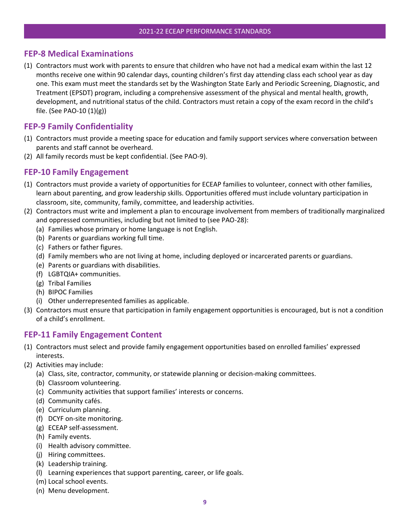#### <span id="page-13-0"></span>**FEP-8 Medical Examinations**

(1) Contractors must work with parents to ensure that children who have not had a medical exam within the last 12 months receive one within 90 calendar days, counting children's first day attending class each school year as day one. This exam must meet the standards set by the Washington State Early and Periodic Screening, Diagnostic, and Treatment (EPSDT) program, including a comprehensive assessment of the physical and mental health, growth, development, and nutritional status of the child. Contractors must retain a copy of the exam record in the child's file. (See PAO-10 (1)(g))

#### <span id="page-13-1"></span>**FEP-9 Family Confidentiality**

- (1) Contractors must provide a meeting space for education and family support services where conversation between parents and staff cannot be overheard.
- (2) All family records must be kept confidential. (See PAO-9).

#### <span id="page-13-2"></span>**FEP-10 Family Engagement**

- (1) Contractors must provide a variety of opportunities for ECEAP families to volunteer, connect with other families, learn about parenting, and grow leadership skills. Opportunities offered must include voluntary participation in classroom, site, community, family, committee, and leadership activities.
- (2) Contractors must write and implement a plan to encourage involvement from members of traditionally marginalized and oppressed communities, including but not limited to (see PAO-28):
	- (a) Families whose primary or home language is not English.
	- (b) Parents or guardians working full time.
	- (c) Fathers or father figures.
	- (d) Family members who are not living at home, including deployed or incarcerated parents or guardians.
	- (e) Parents or guardians with disabilities.
	- (f) LGBTQIA+ communities.
	- (g) Tribal Families
	- (h) BIPOC Families
	- (i) Other underrepresented families as applicable.
- (3) Contractors must ensure that participation in family engagement opportunities is encouraged, but is not a condition of a child's enrollment.

#### <span id="page-13-3"></span>**FEP-11 Family Engagement Content**

- (1) Contractors must select and provide family engagement opportunities based on enrolled families' expressed interests.
- (2) Activities may include:
	- (a) Class, site, contractor, community, or statewide planning or decision-making committees.
	- (b) Classroom volunteering.
	- (c) Community activities that support families' interests or concerns.
	- (d) Community cafés.
	- (e) Curriculum planning.
	- (f) DCYF on-site monitoring.
	- (g) ECEAP self-assessment.
	- (h) Family events.
	- (i) Health advisory committee.
	- (j) Hiring committees.
	- (k) Leadership training.
	- (l) Learning experiences that support parenting, career, or life goals.
	- (m) Local school events.
	- (n) Menu development.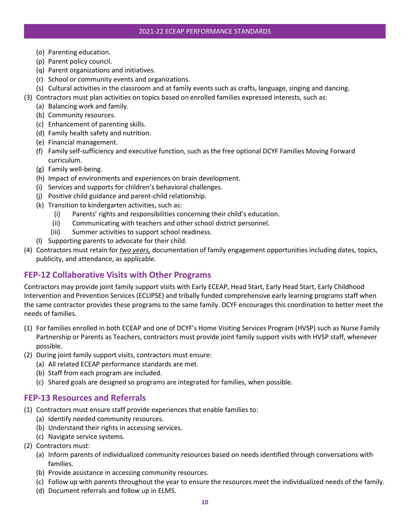- (o) Parenting education.
- (p) Parent policy council.
- (q) Parent organizations and initiatives.
- (r) School or community events and organizations.
- (s) Cultural activities in the classroom and at family events such as crafts, language, singing and dancing.
- (3) Contractors must plan activities on topics based on enrolled families expressed interests, such as:
	- (a) Balancing work and family.
	- (b) Community resources.
	- (c) Enhancement of parenting skills.
	- (d) Family health safety and nutrition.
	- (e) Financial management.
	- (f) Family self-sufficiency and executive function, such as the free optional DCYF Families Moving Forward curriculum.
	- (g) Family well-being.
	- (h) Impact of environments and experiences on brain development.
	- (i) Services and supports for children's behavioral challenges.
	- (j) Positive child guidance and parent-child relationship.
	- (k) Transition to kindergarten activities, such as:
		- (i) Parents' rights and responsibilities concerning their child's education.
		- (ii) Communicating with teachers and other school district personnel.
		- (iii) Summer activities to support school readiness.
	- (l) Supporting parents to advocate for their child.
- (4) Contractors must retain for *two years,* documentation of family engagement opportunities including dates, topics, publicity, and attendance, as applicable.

# <span id="page-14-0"></span>**FEP-12 Collaborative Visits with Other Programs**

Contractors may provide joint family support visits with Early ECEAP, Head Start, Early Head Start, Early Childhood Intervention and Prevention Services (ECLIPSE) and tribally funded comprehensive early learning programs staff when the same contractor provides these programs to the same family. DCYF encourages this coordination to better meet the needs of families.

- (1) For families enrolled in both ECEAP and one of DCYF's Home Visiting Services Program (HVSP) such as Nurse Family Partnership or Parents as Teachers, contractors must provide joint family support visits with HVSP staff, whenever possible.
- (2) During joint family support visits, contractors must ensure:
	- (a) All related ECEAP performance standards are met.
	- (b) Staff from each program are included.
	- (c) Shared goals are designed so programs are integrated for families, when possible.

# <span id="page-14-1"></span>**FEP-13 Resources and Referrals**

- (1) Contractors must ensure staff provide experiences that enable families to:
	- (a) Identify needed community resources.
	- (b) Understand their rights in accessing services.
	- (c) Navigate service systems.
- (2) Contractors must:
	- (a) Inform parents of individualized community resources based on needs identified through conversations with families.
	- (b) Provide assistance in accessing community resources.
	- (c) Follow up with parents throughout the year to ensure the resources meet the individualized needs of the family.
	- (d) Document referrals and follow up in ELMS.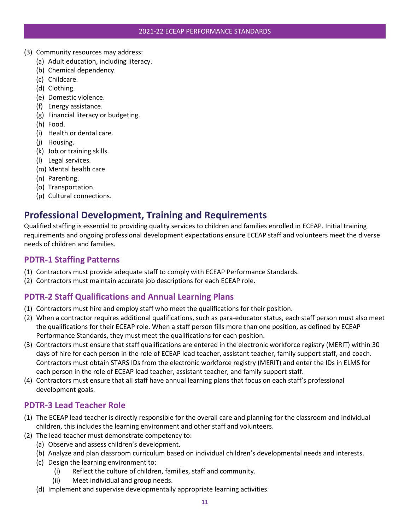- (3) Community resources may address:
	- (a) Adult education, including literacy.
	- (b) Chemical dependency.
	- (c) Childcare.
	- (d) Clothing.
	- (e) Domestic violence.
	- (f) Energy assistance.
	- (g) Financial literacy or budgeting.
	- (h) Food.
	- (i) Health or dental care.
	- (j) Housing.
	- (k) Job or training skills.
	- (l) Legal services.
	- (m) Mental health care.
	- (n) Parenting.
	- (o) Transportation.
	- (p) Cultural connections.

# <span id="page-15-0"></span>**Professional Development, Training and Requirements**

Qualified staffing is essential to providing quality services to children and families enrolled in ECEAP. Initial training requirements and ongoing professional development expectations ensure ECEAP staff and volunteers meet the diverse needs of children and families.

# <span id="page-15-1"></span>**PDTR-1 Staffing Patterns**

- (1) Contractors must provide adequate staff to comply with ECEAP Performance Standards.
- (2) Contractors must maintain accurate job descriptions for each ECEAP role.

# <span id="page-15-2"></span>**PDTR-2 Staff Qualifications and Annual Learning Plans**

- (1) Contractors must hire and employ staff who meet the qualifications for their position.
- (2) When a contractor requires additional qualifications, such as para-educator status, each staff person must also meet the qualifications for their ECEAP role. When a staff person fills more than one position, as defined by ECEAP Performance Standards, they must meet the qualifications for each position.
- (3) Contractors must ensure that staff qualifications are entered in the electronic workforce registry (MERIT) within 30 days of hire for each person in the role of ECEAP lead teacher, assistant teacher, family support staff, and coach. Contractors must obtain STARS IDs from the electronic workforce registry (MERIT) and enter the IDs in ELMS for each person in the role of ECEAP lead teacher, assistant teacher, and family support staff.
- (4) Contractors must ensure that all staff have annual learning plans that focus on each staff's professional development goals.

# <span id="page-15-3"></span>**PDTR-3 Lead Teacher Role**

- (1) The ECEAP lead teacher is directly responsible for the overall care and planning for the classroom and individual children, this includes the learning environment and other staff and volunteers.
- (2) The lead teacher must demonstrate competency to:
	- (a) Observe and assess children's development.
	- (b) Analyze and plan classroom curriculum based on individual children's developmental needs and interests.
	- (c) Design the learning environment to:
		- (i) Reflect the culture of children, families, staff and community.
		- (ii) Meet individual and group needs.
	- (d) Implement and supervise developmentally appropriate learning activities.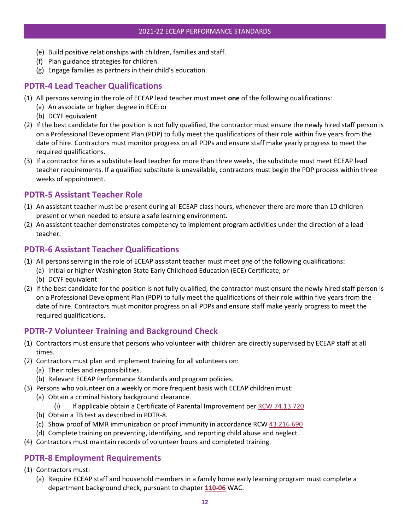- (e) Build positive relationships with children, families and staff.
- (f) Plan guidance strategies for children.
- (g) Engage families as partners in their child's education.

# <span id="page-16-0"></span>**PDTR-4 Lead Teacher Qualifications**

- (1) All persons serving in the role of ECEAP lead teacher must meet **one** of the following qualifications:
	- (a) An associate or higher degree in ECE; or
		- (b) DCYF equivalent
- (2) If the best candidate for the position is not fully qualified, the contractor must ensure the newly hired staff person is on a Professional Development Plan (PDP) to fully meet the qualifications of their role within five years from the date of hire. Contractors must monitor progress on all PDPs and ensure staff make yearly progress to meet the required qualifications.
- (3) If a contractor hires a substitute lead teacher for more than three weeks, the substitute must meet ECEAP lead teacher requirements. If a qualified substitute is unavailable, contractors must begin the PDP process within three weeks of appointment.

### <span id="page-16-1"></span>**PDTR-5 Assistant Teacher Role**

- (1) An assistant teacher must be present during all ECEAP class hours, whenever there are more than 10 children present or when needed to ensure a safe learning environment.
- (2) An assistant teacher demonstrates competency to implement program activities under the direction of a lead teacher.

# <span id="page-16-2"></span>**PDTR-6 Assistant Teacher Qualifications**

- (1) All persons serving in the role of ECEAP assistant teacher must meet *one* of the following qualifications:
	- (a) Initial or higher Washington State Early Childhood Education (ECE) Certificate; or
	- (b) DCYF equivalent
- (2) If the best candidate for the position is not fully qualified, the contractor must ensure the newly hired staff person is on a Professional Development Plan (PDP) to fully meet the qualifications of their role within five years from the date of hire. Contractors must monitor progress on all PDPs and ensure staff make yearly progress to meet the required qualifications.

# <span id="page-16-3"></span>**PDTR-7 Volunteer Training and Background Check**

- (1) Contractors must ensure that persons who volunteer with children are directly supervised by ECEAP staff at all times.
- (2) Contractors must plan and implement training for all volunteers on:
	- (a) Their roles and responsibilities.
	- (b) Relevant ECEAP Performance Standards and program policies.
- (3) Persons who volunteer on a weekly or more frequent basis with ECEAP children must:
	- (a) Obtain a criminal history background clearance.
		- (i) If applicable obtain a Certificate of Parental Improvement pe[r RCW 74.13.720](https://app.leg.wa.gov/RCW/default.aspx?cite=74.13.720)
	- (b) Obtain a TB test as described in PDTR-8.
	- (c) Show proof of MMR immunization or proof immunity in accordance RCW [43.216.690](https://dcyf.zoom.us/s/83796897650#successhttps://app.leg.wa.gov/RCW/default.aspx?cite=43.216.690)
	- (d) Complete training on preventing, identifying, and reporting child abuse and neglect.
- (4) Contractors must maintain records of volunteer hours and completed training.

# <span id="page-16-4"></span>**PDTR-8 Employment Requirements**

- (1) Contractors must:
	- (a) Require ECEAP staff and household members in a family home early learning program must complete a department background check, pursuant to chapter **[110-06](https://app.leg.wa.gov/wac/default.aspx?cite=110-06)** WAC.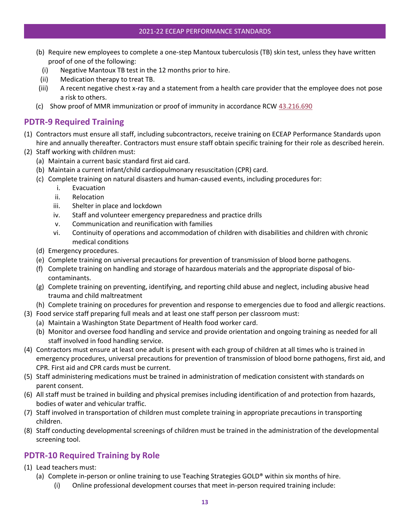- (b) Require new employees to complete a one-step Mantoux tuberculosis (TB) skin test, unless they have written proof of one of the following:
	- (i) Negative Mantoux TB test in the 12 months prior to hire.
- (ii) Medication therapy to treat TB.
- (iii) A recent negative chest x-ray and a statement from a health care provider that the employee does not pose a risk to others.
- (c) Show proof of MMR immunization or proof of immunity in accordance RCW  $43.216.690$

#### <span id="page-17-0"></span>**PDTR-9 Required Training**

- (1) Contractors must ensure all staff, including subcontractors, receive training on ECEAP Performance Standards upon hire and annually thereafter. Contractors must ensure staff obtain specific training for their role as described herein.
- (2) Staff working with children must:
	- (a) Maintain a current basic standard first aid card.
	- (b) Maintain a current infant/child cardiopulmonary resuscitation (CPR) card.
	- (c) Complete training on natural disasters and human-caused events, including procedures for:
		- i. Evacuation
		- ii. Relocation
		- iii. Shelter in place and lockdown
		- iv. Staff and volunteer emergency preparedness and practice drills
		- v. Communication and reunification with families
		- vi. Continuity of operations and accommodation of children with disabilities and children with chronic medical conditions
	- (d) Emergency procedures.
	- (e) Complete training on universal precautions for prevention of transmission of blood borne pathogens.
	- (f) Complete training on handling and storage of hazardous materials and the appropriate disposal of biocontaminants.
	- (g) Complete training on preventing, identifying, and reporting child abuse and neglect, including abusive head trauma and child maltreatment
	- (h) Complete training on procedures for prevention and response to emergencies due to food and allergic reactions.
- (3) Food service staff preparing full meals and at least one staff person per classroom must:
	- (a) Maintain a Washington State Department of Health food worker card.
	- (b) Monitor and oversee food handling and service and provide orientation and ongoing training as needed for all staff involved in food handling service.
- (4) Contractors must ensure at least one adult is present with each group of children at all times who is trained in emergency procedures, universal precautions for prevention of transmission of blood borne pathogens, first aid, and CPR. First aid and CPR cards must be current.
- (5) Staff administering medications must be trained in administration of medication consistent with standards on parent consent.
- (6) All staff must be trained in building and physical premises including identification of and protection from hazards, bodies of water and vehicular traffic.
- (7) Staff involved in transportation of children must complete training in appropriate precautions in transporting children.
- (8) Staff conducting developmental screenings of children must be trained in the administration of the developmental screening tool.

# <span id="page-17-1"></span>**PDTR-10 Required Training by Role**

- (1) Lead teachers must:
	- (a) Complete in-person or online training to use Teaching Strategies GOLD® within six months of hire.
		- (i) Online professional development courses that meet in-person required training include: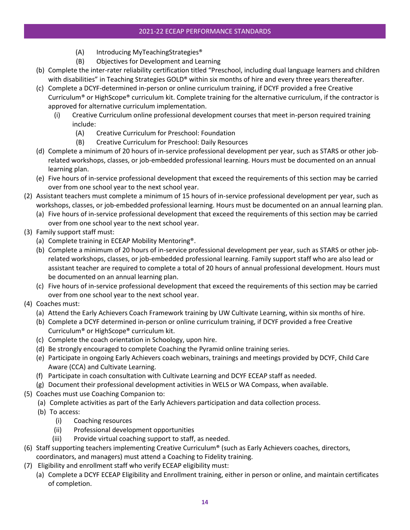- (A) Introducing MyTeachingStrategies®
- (B) Objectives for Development and Learning
- (b) Complete the inter-rater reliability certification titled "Preschool, including dual language learners and children with disabilities" in Teaching Strategies GOLD® within six months of hire and every three years thereafter.
- (c) Complete a DCYF-determined in-person or online curriculum training, if DCYF provided a free Creative Curriculum® or HighScope® curriculum kit. Complete training for the alternative curriculum, if the contractor is approved for alternative curriculum implementation.
	- (i) Creative Curriculum online professional development courses that meet in-person required training include:
		- (A) Creative Curriculum for Preschool: Foundation
		- (B) Creative Curriculum for Preschool: Daily Resources
- (d) Complete a minimum of 20 hours of in-service professional development per year, such as STARS or other jobrelated workshops, classes, or job-embedded professional learning. Hours must be documented on an annual learning plan.
- (e) Five hours of in-service professional development that exceed the requirements of this section may be carried over from one school year to the next school year.
- (2) Assistant teachers must complete a minimum of 15 hours of in-service professional development per year, such as workshops, classes, or job-embedded professional learning. Hours must be documented on an annual learning plan.
	- (a) Five hours of in-service professional development that exceed the requirements of this section may be carried over from one school year to the next school year.
- (3) Family support staff must:
	- (a) Complete training in ECEAP Mobility Mentoring®.
	- (b) Complete a minimum of 20 hours of in-service professional development per year, such as STARS or other jobrelated workshops, classes, or job-embedded professional learning. Family support staff who are also lead or assistant teacher are required to complete a total of 20 hours of annual professional development. Hours must be documented on an annual learning plan.
	- (c) Five hours of in-service professional development that exceed the requirements of this section may be carried over from one school year to the next school year.
- (4) Coaches must:
	- (a) Attend the Early Achievers Coach Framework training by UW Cultivate Learning, within six months of hire.
	- (b) Complete a DCYF determined in-person or online curriculum training, if DCYF provided a free Creative Curriculum® or HighScope® curriculum kit.
	- (c) Complete the coach orientation in Schoology, upon hire.
	- (d) Be strongly encouraged to complete Coaching the Pyramid online training series.
	- (e) Participate in ongoing Early Achievers coach webinars, trainings and meetings provided by DCYF, Child Care Aware (CCA) and Cultivate Learning.
	- (f) Participate in coach consultation with Cultivate Learning and DCYF ECEAP staff as needed.
	- (g) Document their professional development activities in WELS or WA Compass, when available.
- (5) Coaches must use Coaching Companion to:
	- (a) Complete activities as part of the Early Achievers participation and data collection process.
	- (b) To access:
		- (i) Coaching resources
		- (ii) Professional development opportunities
		- (iii) Provide virtual coaching support to staff, as needed.
- (6) Staff supporting teachers implementing Creative Curriculum® (such as Early Achievers coaches, directors, coordinators, and managers) must attend a Coaching to Fidelity training.
- (7) Eligibility and enrollment staff who verify ECEAP eligibility must:
	- (a) Complete a DCYF ECEAP Eligibility and Enrollment training, either in person or online, and maintain certificates of completion.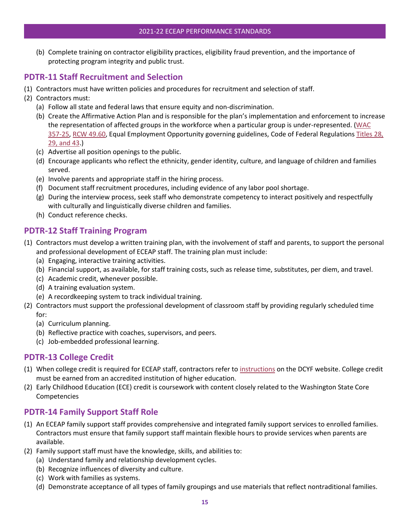(b) Complete training on contractor eligibility practices, eligibility fraud prevention, and the importance of protecting program integrity and public trust.

# <span id="page-19-0"></span>**PDTR-11 Staff Recruitment and Selection**

- (1) Contractors must have written policies and procedures for recruitment and selection of staff.
- (2) Contractors must:
	- (a) Follow all state and federal laws that ensure equity and non-discrimination.
	- (b) Create the Affirmative Action Plan and is responsible for the plan's implementation and enforcement to increase the representation of affected groups in the workforce when a particular group is under-represented. (WAC [357-25,](https://apps.leg.wa.gov/WAC/default.aspx?cite=357-25) [RCW 49.60,](http://apps.leg.wa.gov/RCW/default.aspx?cite=49.60) Equal Employment Opportunity governing guidelines, Code of Federal Regulations [Titles 28,](https://www.govinfo.gov/app/collection/cfr/2020/)  [29, and 43.](https://www.govinfo.gov/app/collection/cfr/2020/))
	- (c) Advertise all position openings to the public.
	- (d) Encourage applicants who reflect the ethnicity, gender identity, culture, and language of children and families served.
	- (e) Involve parents and appropriate staff in the hiring process.
	- (f) Document staff recruitment procedures, including evidence of any labor pool shortage.
	- (g) During the interview process, seek staff who demonstrate competency to interact positively and respectfully with culturally and linguistically diverse children and families.
	- (h) Conduct reference checks.

# <span id="page-19-1"></span>**PDTR-12 Staff Training Program**

- (1) Contractors must develop a written training plan, with the involvement of staff and parents, to support the personal and professional development of ECEAP staff. The training plan must include:
	- (a) Engaging, interactive training activities.
	- (b) Financial support, as available, for staff training costs, such as release time, substitutes, per diem, and travel.
	- (c) Academic credit, whenever possible.
	- (d) A training evaluation system.
	- (e) A recordkeeping system to track individual training.
- (2) Contractors must support the professional development of classroom staff by providing regularly scheduled time for:
	- (a) Curriculum planning.
	- (b) Reflective practice with coaches, supervisors, and peers.
	- (c) Job-embedded professional learning.

# <span id="page-19-2"></span>**PDTR-13 College Credit**

- (1) When college credit is required for ECEAP staff, contractors refer to [instructions](https://www.dcyf.wa.gov/sites/default/files/pdf/eceap/Entering_ECEAP_Staff_Qualifications_in_MERIT.pdf) on the DCYF website. College credit must be earned from an accredited institution of higher education.
- (2) Early Childhood Education (ECE) credit is coursework with content closely related to the Washington State Core Competencies

# <span id="page-19-3"></span>**PDTR-14 Family Support Staff Role**

- (1) An ECEAP family support staff provides comprehensive and integrated family support services to enrolled families. Contractors must ensure that family support staff maintain flexible hours to provide services when parents are available.
- (2) Family support staff must have the knowledge, skills, and abilities to:
	- (a) Understand family and relationship development cycles.
	- (b) Recognize influences of diversity and culture.
	- (c) Work with families as systems.
	- (d) Demonstrate acceptance of all types of family groupings and use materials that reflect nontraditional families.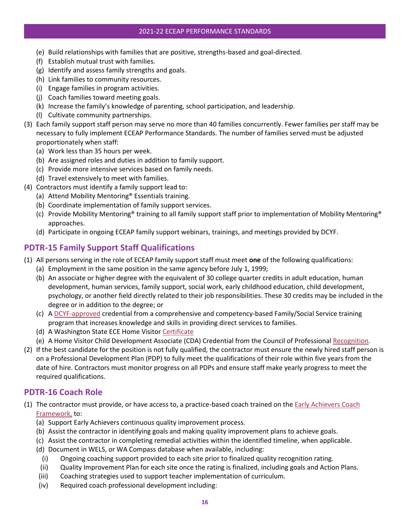#### 2021-22 ECEAP PERFORMANCE STANDARDS

- (e) Build relationships with families that are positive, strengths-based and goal-directed.
- (f) Establish mutual trust with families.
- (g) Identify and assess family strengths and goals.
- (h) Link families to community resources.
- (i) Engage families in program activities.
- (j) Coach families toward meeting goals.
- (k) Increase the family's knowledge of parenting, school participation, and leadership.
- (l) Cultivate community partnerships.
- (3) Each family support staff person may serve no more than 40 families concurrently. Fewer families per staff may be necessary to fully implement ECEAP Performance Standards. The number of families served must be adjusted proportionately when staff:
	- (a) Work less than 35 hours per week.
	- (b) Are assigned roles and duties in addition to family support.
	- (c) Provide more intensive services based on family needs.
	- (d) Travel extensively to meet with families.
- (4) Contractors must identify a family support lead to:
	- (a) Attend Mobility Mentoring® Essentials training.
	- (b) Coordinate implementation of family support services.
	- (c) Provide Mobility Mentoring® training to all family support staff prior to implementation of Mobility Mentoring® approaches.
	- (d) Participate in ongoing ECEAP family support webinars, trainings, and meetings provided by DCYF.

# <span id="page-20-0"></span>**PDTR-15 Family Support Staff Qualifications**

- (1) All persons serving in the role of ECEAP family support staff must meet **one** of the following qualifications:
	- (a) Employment in the same position in the same agency before July 1, 1999;
	- (b) An associate or higher degree with the equivalent of 30 college quarter credits in adult education, human development, human services, family support, social work, early childhood education, child development, psychology, or another field directly related to their job responsibilities. These 30 credits may be included in the degree or in addition to the degree; or
	- (c) A [DCYF-approved](https://dcyf.wa.gov/sites/default/files/pdf/eceap/Entering_ECEAP_Staff_Qualifications_in_MERIT.pdf) credential from a comprehensive and competency-based Family/Social Service training program that increases knowledge and skills in providing direct services to families.
	- (d) A Washington State ECE Home Visitor [Certificate](https://dcyf.wa.gov/sites/default/files/pdf/eceap/Entering_ECEAP_Staff_Qualifications_in_MERIT.pdf)
	- (e) A Home Visitor Child Development Associate (CDA) Credential from the Council of Professional [Recognition.](https://www.cdacouncil.org/credentials/apply-for-cda/home-visitor)
- (2) If the best candidate for the position is not fully qualified, the contractor must ensure the newly hired staff person is on a Professional Development Plan (PDP) to fully meet the qualifications of their role within five years from the date of hire. Contractors must monitor progress on all PDPs and ensure staff make yearly progress to meet the required qualifications.

# <span id="page-20-1"></span>**PDTR-16 Coach Role**

- (1) The contractor must provide, or have access to, a practice-based coach trained on the [Early Achievers Coach](https://www.dcyf.wa.gov/sites/default/files/pdf/ea/EA_coach_framework.pdf)  [Framework,](https://www.dcyf.wa.gov/sites/default/files/pdf/ea/EA_coach_framework.pdf) to:
	- (a) Support Early Achievers continuous quality improvement process.
	- (b) Assist the contractor in identifying goals and making quality improvement plans to achieve goals.
	- (c) Assist the contractor in completing remedial activities within the identified timeline, when applicable.
	- (d) Document in WELS, or WA Compass database when available, including:
		- (i) Ongoing coaching support provided to each site prior to finalized quality recognition rating.
	- (ii) Quality Improvement Plan for each site once the rating is finalized, including goals and Action Plans.
	- (iii) Coaching strategies used to support teacher implementation of curriculum.
	- (iv) Required coach professional development including: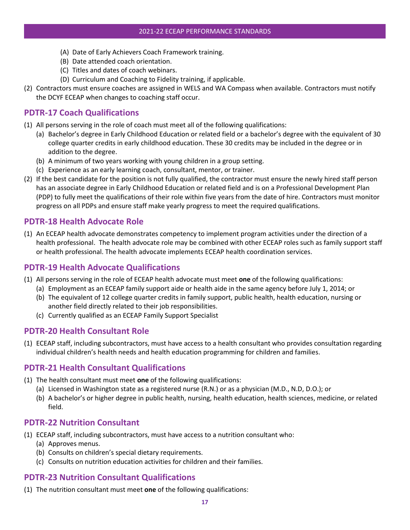- (A) Date of Early Achievers Coach Framework training.
- (B) Date attended coach orientation.
- (C) Titles and dates of coach webinars.
- (D) Curriculum and Coaching to Fidelity training, if applicable.
- (2) Contractors must ensure coaches are assigned in WELS and WA Compass when available. Contractors must notify the DCYF ECEAP when changes to coaching staff occur.

# <span id="page-21-0"></span>**PDTR-17 Coach Qualifications**

- (1) All persons serving in the role of coach must meet all of the following qualifications:
	- (a) Bachelor's degree in Early Childhood Education or related field or a bachelor's degree with the equivalent of 30 college quarter credits in early childhood education. These 30 credits may be included in the degree or in addition to the degree.
	- (b) A minimum of two years working with young children in a group setting.
	- (c) Experience as an early learning coach, consultant, mentor, or trainer.
- (2) If the best candidate for the position is not fully qualified, the contractor must ensure the newly hired staff person has an associate degree in Early Childhood Education or related field and is on a Professional Development Plan (PDP) to fully meet the qualifications of their role within five years from the date of hire. Contractors must monitor progress on all PDPs and ensure staff make yearly progress to meet the required qualifications.

### <span id="page-21-1"></span>**PDTR-18 Health Advocate Role**

(1) An ECEAP health advocate demonstrates competency to implement program activities under the direction of a health professional. The health advocate role may be combined with other ECEAP roles such as family support staff or health professional. The health advocate implements ECEAP health coordination services.

# <span id="page-21-2"></span>**PDTR-19 Health Advocate Qualifications**

- (1) All persons serving in the role of ECEAP health advocate must meet **one** of the following qualifications:
	- (a) Employment as an ECEAP family support aide or health aide in the same agency before July 1, 2014; or
	- (b) The equivalent of 12 college quarter credits in family support, public health, health education, nursing or another field directly related to their job responsibilities.
	- (c) Currently qualified as an ECEAP Family Support Specialist

# <span id="page-21-3"></span>**PDTR-20 Health Consultant Role**

(1) ECEAP staff, including subcontractors, must have access to a health consultant who provides consultation regarding individual children's health needs and health education programming for children and families.

#### <span id="page-21-4"></span>**PDTR-21 Health Consultant Qualifications**

- (1) The health consultant must meet **one** of the following qualifications:
	- (a) Licensed in Washington state as a registered nurse (R.N.) or as a physician (M.D., N.D, D.O.); or
	- (b) A bachelor's or higher degree in public health, nursing, health education, health sciences, medicine, or related field.

#### <span id="page-21-5"></span>**PDTR-22 Nutrition Consultant**

- (1) ECEAP staff, including subcontractors, must have access to a nutrition consultant who:
	- (a) Approves menus.
	- (b) Consults on children's special dietary requirements.
	- (c) Consults on nutrition education activities for children and their families.

# <span id="page-21-6"></span>**PDTR-23 Nutrition Consultant Qualifications**

(1) The nutrition consultant must meet **one** of the following qualifications: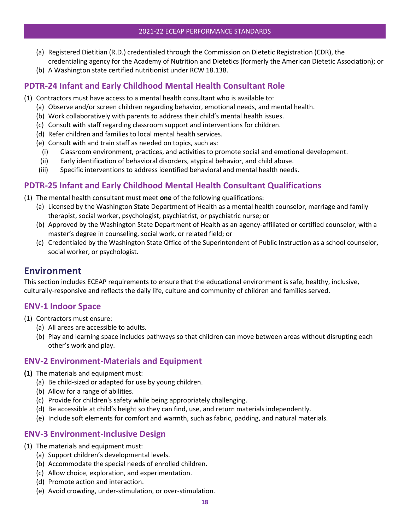- (a) Registered Dietitian (R.D.) credentialed through the Commission on Dietetic Registration (CDR), the credentialing agency for the Academy of Nutrition and Dietetics (formerly the American Dietetic Association); or
- (b) A Washington state certified nutritionist under RCW 18.138.

# <span id="page-22-0"></span>**PDTR-24 Infant and Early Childhood Mental Health Consultant Role**

- (1) Contractors must have access to a mental health consultant who is available to:
	- (a) Observe and/or screen children regarding behavior, emotional needs, and mental health.
	- (b) Work collaboratively with parents to address their child's mental health issues.
	- (c) Consult with staff regarding classroom support and interventions for children.
	- (d) Refer children and families to local mental health services.
	- (e) Consult with and train staff as needed on topics, such as:
	- (i) Classroom environment, practices, and activities to promote social and emotional development.
	- (ii) Early identification of behavioral disorders, atypical behavior, and child abuse.
	- (iii) Specific interventions to address identified behavioral and mental health needs.

# <span id="page-22-1"></span>**PDTR-25 Infant and Early Childhood Mental Health Consultant Qualifications**

- (1) The mental health consultant must meet **one** of the following qualifications:
	- (a) Licensed by the Washington State Department of Health as a mental health counselor, marriage and family therapist, social worker, psychologist, psychiatrist, or psychiatric nurse; or
	- (b) Approved by the Washington State Department of Health as an agency-affiliated or certified counselor, with a master's degree in counseling, social work, or related field; or
	- (c) Credentialed by the Washington State Office of the Superintendent of Public Instruction as a school counselor, social worker, or psychologist.

# <span id="page-22-2"></span>**Environment**

This section includes ECEAP requirements to ensure that the educational environment is safe, healthy, inclusive, culturally-responsive and reflects the daily life, culture and community of children and families served.

# <span id="page-22-3"></span>**ENV-1 Indoor Space**

- (1) Contractors must ensure:
	- (a) All areas are accessible to adults.
	- (b) Play and learning space includes pathways so that children can move between areas without disrupting each other's work and play.

# <span id="page-22-4"></span>**ENV-2 Environment-Materials and Equipment**

- **(1)** The materials and equipment must:
	- (a) Be child-sized or adapted for use by young children.
	- (b) Allow for a range of abilities.
	- (c) Provide for children's safety while being appropriately challenging.
	- (d) Be accessible at child's height so they can find, use, and return materials independently.
	- (e) Include soft elements for comfort and warmth, such as fabric, padding, and natural materials.

# <span id="page-22-5"></span>**ENV-3 Environment-Inclusive Design**

- (1) The materials and equipment must:
	- (a) Support children's developmental levels.
	- (b) Accommodate the special needs of enrolled children.
	- (c) Allow choice, exploration, and experimentation.
	- (d) Promote action and interaction.
	- (e) Avoid crowding, under-stimulation, or over-stimulation.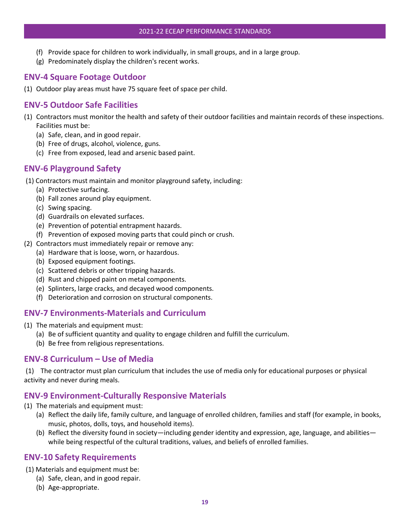- (f) Provide space for children to work individually, in small groups, and in a large group.
- (g) Predominately display the children's recent works.

# <span id="page-23-0"></span>**ENV-4 Square Footage Outdoor**

(1) Outdoor play areas must have 75 square feet of space per child.

# <span id="page-23-1"></span>**ENV-5 Outdoor Safe Facilities**

- (1) Contractors must monitor the health and safety of their outdoor facilities and maintain records of these inspections. Facilities must be:
	- (a) Safe, clean, and in good repair.
	- (b) Free of drugs, alcohol, violence, guns.
	- (c) Free from exposed, lead and arsenic based paint.

# <span id="page-23-2"></span>**ENV-6 Playground Safety**

- (1) Contractors must maintain and monitor playground safety, including:
	- (a) Protective surfacing.
	- (b) Fall zones around play equipment.
	- (c) Swing spacing.
	- (d) Guardrails on elevated surfaces.
	- (e) Prevention of potential entrapment hazards.
	- (f) Prevention of exposed moving parts that could pinch or crush.
- (2) Contractors must immediately repair or remove any:
	- (a) Hardware that is loose, worn, or hazardous.
	- (b) Exposed equipment footings.
	- (c) Scattered debris or other tripping hazards.
	- (d) Rust and chipped paint on metal components.
	- (e) Splinters, large cracks, and decayed wood components.
	- (f) Deterioration and corrosion on structural components.

#### <span id="page-23-3"></span>**ENV-7 Environments-Materials and Curriculum**

- (1) The materials and equipment must:
	- (a) Be of sufficient quantity and quality to engage children and fulfill the curriculum.
	- (b) Be free from religious representations.

#### <span id="page-23-4"></span>**ENV-8 Curriculum – Use of Media**

(1) The contractor must plan curriculum that includes the use of media only for educational purposes or physical activity and never during meals.

#### <span id="page-23-5"></span>**ENV-9 Environment-Culturally Responsive Materials**

- (1) The materials and equipment must:
	- (a) Reflect the daily life, family culture, and language of enrolled children, families and staff (for example, in books, music, photos, dolls, toys, and household items).
	- (b) Reflect the diversity found in society—including gender identity and expression, age, language, and abilities while being respectful of the cultural traditions, values, and beliefs of enrolled families.

#### <span id="page-23-6"></span>**ENV-10 Safety Requirements**

- (1) Materials and equipment must be:
	- (a) Safe, clean, and in good repair.
	- (b) Age-appropriate.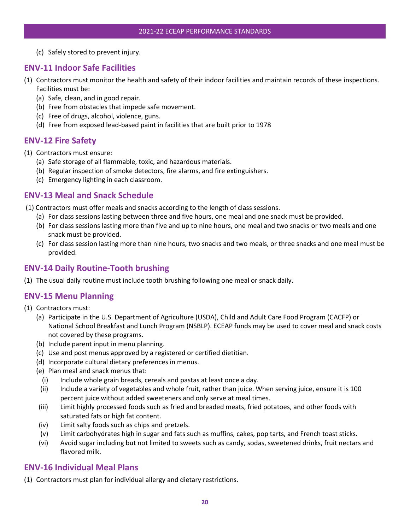(c) Safely stored to prevent injury.

#### <span id="page-24-0"></span>**ENV-11 Indoor Safe Facilities**

- (1) Contractors must monitor the health and safety of their indoor facilities and maintain records of these inspections. Facilities must be:
	- (a) Safe, clean, and in good repair.
	- (b) Free from obstacles that impede safe movement.
	- (c) Free of drugs, alcohol, violence, guns.
	- (d) Free from exposed lead-based paint in facilities that are built prior to 1978

#### <span id="page-24-1"></span>**ENV-12 Fire Safety**

- (1) Contractors must ensure:
	- (a) Safe storage of all flammable, toxic, and hazardous materials.
	- (b) Regular inspection of smoke detectors, fire alarms, and fire extinguishers.
	- (c) Emergency lighting in each classroom.

#### <span id="page-24-2"></span>**ENV-13 Meal and Snack Schedule**

- (1) Contractors must offer meals and snacks according to the length of class sessions.
	- (a) For class sessions lasting between three and five hours, one meal and one snack must be provided.
	- (b) For class sessions lasting more than five and up to nine hours, one meal and two snacks or two meals and one snack must be provided.
	- (c) For class session lasting more than nine hours, two snacks and two meals, or three snacks and one meal must be provided.

# <span id="page-24-3"></span>**ENV-14 Daily Routine-Tooth brushing**

(1) The usual daily routine must include tooth brushing following one meal or snack daily.

#### <span id="page-24-4"></span>**ENV-15 Menu Planning**

- (1) Contractors must:
	- (a) Participate in the U.S. Department of Agriculture (USDA), Child and Adult Care Food Program (CACFP) or National School Breakfast and Lunch Program (NSBLP). ECEAP funds may be used to cover meal and snack costs not covered by these programs.
	- (b) Include parent input in menu planning.
	- (c) Use and post menus approved by a registered or certified dietitian.
	- (d) Incorporate cultural dietary preferences in menus.
	- (e) Plan meal and snack menus that:
		- (i) Include whole grain breads, cereals and pastas at least once a day.
	- (ii) Include a variety of vegetables and whole fruit, rather than juice. When serving juice, ensure it is 100 percent juice without added sweeteners and only serve at meal times.
	- (iii) Limit highly processed foods such as fried and breaded meats, fried potatoes, and other foods with saturated fats or high fat content.
	- (iv) Limit salty foods such as chips and pretzels.
	- (v) Limit carbohydrates high in sugar and fats such as muffins, cakes, pop tarts, and French toast sticks.
	- (vi) Avoid sugar including but not limited to sweets such as candy, sodas, sweetened drinks, fruit nectars and flavored milk.

#### <span id="page-24-5"></span>**ENV-16 Individual Meal Plans**

(1) Contractors must plan for individual allergy and dietary restrictions.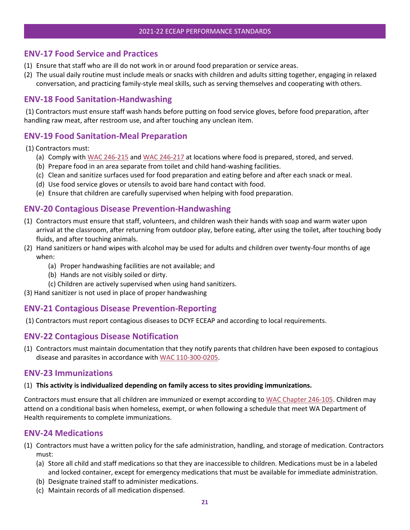#### <span id="page-25-0"></span>**ENV-17 Food Service and Practices**

- (1) Ensure that staff who are ill do not work in or around food preparation or service areas.
- (2) The usual daily routine must include meals or snacks with children and adults sitting together, engaging in relaxed conversation, and practicing family-style meal skills, such as serving themselves and cooperating with others.

#### <span id="page-25-1"></span>**ENV-18 Food Sanitation-Handwashing**

(1) Contractors must ensure staff wash hands before putting on food service gloves, before food preparation, after handling raw meat, after restroom use, and after touching any unclean item.

#### <span id="page-25-2"></span>**ENV-19 Food Sanitation-Meal Preparation**

(1) Contractors must:

- (a) Comply wit[h WAC 246-215](https://apps.leg.wa.gov/WAC/default.aspx?cite=246-215) an[d WAC 246-217](https://apps.leg.wa.gov/WAC/default.aspx?cite=246-217) at locations where food is prepared, stored, and served.
- (b) Prepare food in an area separate from toilet and child hand-washing facilities.
- (c) Clean and sanitize surfaces used for food preparation and eating before and after each snack or meal.
- (d) Use food service gloves or utensils to avoid bare hand contact with food.
- (e) Ensure that children are carefully supervised when helping with food preparation.

#### <span id="page-25-3"></span>**ENV-20 Contagious Disease Prevention-Handwashing**

- (1) Contractors must ensure that staff, volunteers, and children wash their hands with soap and warm water upon arrival at the classroom, after returning from outdoor play, before eating, after using the toilet, after touching body fluids, and after touching animals.
- (2) Hand sanitizers or hand wipes with alcohol may be used for adults and children over twenty-four months of age when:
	- (a) Proper handwashing facilities are not available; and
	- (b) Hands are not visibly soiled or dirty.
	- (c) Children are actively supervised when using hand sanitizers.
- (3) Hand sanitizer is not used in place of proper handwashing

#### <span id="page-25-4"></span>**ENV-21 Contagious Disease Prevention-Reporting**

(1) Contractors must report contagious diseases to DCYF ECEAP and according to local requirements.

#### <span id="page-25-5"></span>**ENV-22 Contagious Disease Notification**

(1) Contractors must maintain documentation that they notify parents that children have been exposed to contagious disease and parasites in accordance wit[h WAC 110-300-0205.](https://app.leg.wa.gov/wac/default.aspx?cite=110-300-0205)

#### <span id="page-25-6"></span>**ENV-23 Immunizations**

#### (1) **This activity is individualized depending on family access to sites providing immunizations.**

Contractors must ensure that all children are immunized or exempt according t[o WAC Chapter 246-105.](https://apps.leg.wa.gov/WAC/default.aspx?cite=246-105) Children may attend on a conditional basis when homeless, exempt, or when following a schedule that meet WA Department of Health requirements to complete immunizations.

#### <span id="page-25-7"></span>**ENV-24 Medications**

- (1) Contractors must have a written policy for the safe administration, handling, and storage of medication. Contractors must:
	- (a) Store all child and staff medications so that they are inaccessible to children. Medications must be in a labeled and locked container, except for emergency medications that must be available for immediate administration.
	- (b) Designate trained staff to administer medications.
	- (c) Maintain records of all medication dispensed.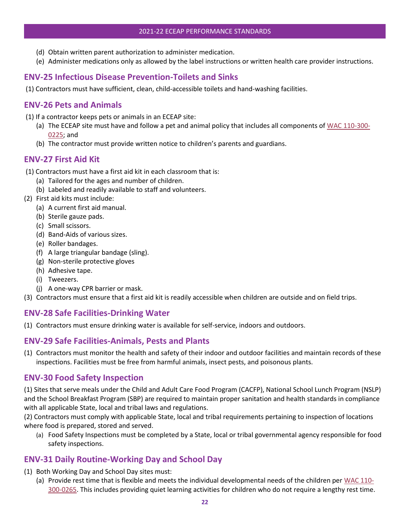- (d) Obtain written parent authorization to administer medication.
- (e) Administer medications only as allowed by the label instructions or written health care provider instructions.

#### <span id="page-26-0"></span>**ENV-25 Infectious Disease Prevention-Toilets and Sinks**

(1) Contractors must have sufficient, clean, child-accessible toilets and hand-washing facilities.

#### <span id="page-26-1"></span>**ENV-26 Pets and Animals**

- (1) If a contractor keeps pets or animals in an ECEAP site:
	- (a) The ECEAP site must have and follow a pet and animal policy that includes all components of [WAC 110-300-](https://app.leg.wa.gov/wac/default.aspx?cite=110-300-0225) [0225;](https://app.leg.wa.gov/wac/default.aspx?cite=110-300-0225) and
	- (b) The contractor must provide written notice to children's parents and guardians.

#### <span id="page-26-2"></span>**ENV-27 First Aid Kit**

- (1) Contractors must have a first aid kit in each classroom that is:
	- (a) Tailored for the ages and number of children.
	- (b) Labeled and readily available to staff and volunteers.
- (2) First aid kits must include:
	- (a) A current first aid manual.
	- (b) Sterile gauze pads.
	- (c) Small scissors.
	- (d) Band-Aids of various sizes.
	- (e) Roller bandages.
	- (f) A large triangular bandage (sling).
	- (g) Non-sterile protective gloves
	- (h) Adhesive tape.
	- (i) Tweezers.
	- (j) A one-way CPR barrier or mask.
- (3) Contractors must ensure that a first aid kit is readily accessible when children are outside and on field trips.

#### <span id="page-26-3"></span>**ENV-28 Safe Facilities-Drinking Water**

(1) Contractors must ensure drinking water is available for self-service, indoors and outdoors.

#### <span id="page-26-4"></span>**ENV-29 Safe Facilities-Animals, Pests and Plants**

(1) Contractors must monitor the health and safety of their indoor and outdoor facilities and maintain records of these inspections. Facilities must be free from harmful animals, insect pests, and poisonous plants.

#### <span id="page-26-5"></span>**ENV-30 Food Safety Inspection**

(1) Sites that serve meals under the Child and Adult Care Food Program (CACFP), National School Lunch Program (NSLP) and the School Breakfast Program (SBP) are required to maintain proper sanitation and health standards in compliance with all applicable State, local and tribal laws and regulations.

(2) Contractors must comply with applicable State, local and tribal requirements pertaining to inspection of locations where food is prepared, stored and served.

(a) Food Safety Inspections must be completed by a State, local or tribal governmental agency responsible for food safety inspections.

# <span id="page-26-6"></span>**ENV-31 Daily Routine-Working Day and School Day**

- (1) Both Working Day and School Day sites must:
	- (a) Provide rest time that is flexible and meets the individual developmental needs of the children per [WAC 110-](http://app.leg.wa.gov/WAC/default.aspx?cite=170-295-2050) [300-0265.](http://app.leg.wa.gov/WAC/default.aspx?cite=170-295-2050) This includes providing quiet learning activities for children who do not require a lengthy rest time.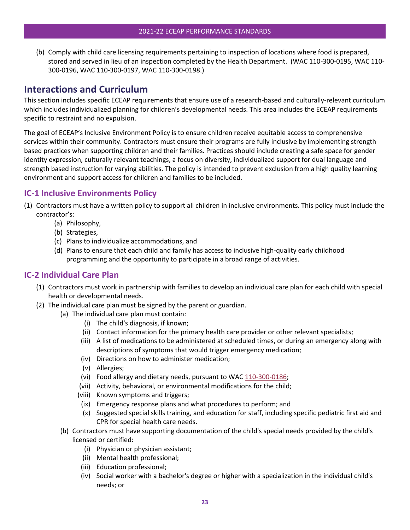(b) Comply with child care licensing requirements pertaining to inspection of locations where food is prepared, stored and served in lieu of an inspection completed by the Health Department. (WAC 110-300-0195, WAC 110- 300-0196, WAC 110-300-0197, WAC 110-300-0198.)

# <span id="page-27-0"></span>**Interactions and Curriculum**

This section includes specific ECEAP requirements that ensure use of a research-based and culturally-relevant curriculum which includes individualized planning for children's developmental needs. This area includes the ECEAP requirements specific to restraint and no expulsion.

The goal of ECEAP's Inclusive Environment Policy is to ensure children receive equitable access to comprehensive services within their community. Contractors must ensure their programs are fully inclusive by implementing strength based practices when supporting children and their families. Practices should include creating a safe space for gender identity expression, culturally relevant teachings, a focus on diversity, individualized support for dual language and strength based instruction for varying abilities. The policy is intended to prevent exclusion from a high quality learning environment and support access for children and families to be included.

# <span id="page-27-1"></span>**IC-1 Inclusive Environments Policy**

- (1) Contractors must have a written policy to support all children in inclusive environments. This policy must include the contractor's:
	- (a) Philosophy,
	- (b) Strategies,
	- (c) Plans to individualize accommodations, and
	- (d) Plans to ensure that each child and family has access to inclusive high-quality early childhood programming and the opportunity to participate in a broad range of activities.

#### <span id="page-27-2"></span>**IC-2 Individual Care Plan**

- (1) Contractors must work in partnership with families to develop an individual care plan for each child with special health or developmental needs.
- (2) The individual care plan must be signed by the parent or guardian.
	- (a) The individual care plan must contain:
		- (i) The child's diagnosis, if known;
		- (ii) Contact information for the primary health care provider or other relevant specialists;
		- (iii) A list of medications to be administered at scheduled times, or during an emergency along with descriptions of symptoms that would trigger emergency medication;
		- (iv) Directions on how to administer medication;
		- (v) Allergies;
		- (vi) Food allergy and dietary needs, pursuant to WAC [110-300-0186;](https://app.leg.wa.gov/wac/default.aspx?cite=110-300-0186)
		- (vii) Activity, behavioral, or environmental modifications for the child;
		- (viii) Known symptoms and triggers;
		- (ix) Emergency response plans and what procedures to perform; and
		- (x) Suggested special skills training, and education for staff, including specific pediatric first aid and CPR for special health care needs.
	- (b) Contractors must have supporting documentation of the child's special needs provided by the child's licensed or certified:
		- (i) Physician or physician assistant;
		- (ii) Mental health professional;
		- (iii) Education professional;
		- (iv) Social worker with a bachelor's degree or higher with a specialization in the individual child's needs; or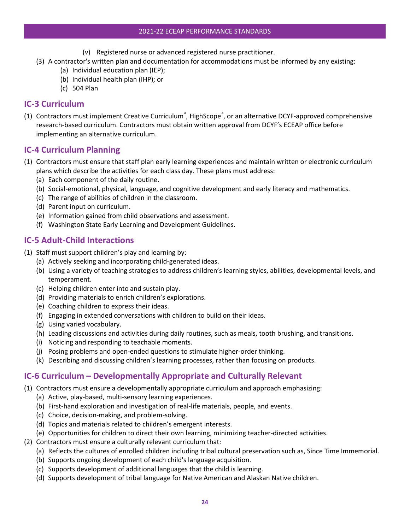#### 2021-22 ECEAP PERFORMANCE STANDARDS

- (v) Registered nurse or advanced registered nurse practitioner.
- (3) A contractor's written plan and documentation for accommodations must be informed by any existing:
	- (a) Individual education plan (IEP);
	- (b) Individual health plan (IHP); or
	- (c) 504 Plan

#### <span id="page-28-0"></span>**IC-3 Curriculum**

(1) Contractors must implement Creative Curriculum*®* , HighScope*®* , or an alternative DCYF-approved comprehensive research-based curriculum. Contractors must obtain written approval from DCYF's ECEAP office before implementing an alternative curriculum.

### <span id="page-28-1"></span>**IC-4 Curriculum Planning**

- (1) Contractors must ensure that staff plan early learning experiences and maintain written or electronic curriculum plans which describe the activities for each class day. These plans must address:
	- (a) Each component of the daily routine.
	- (b) Social-emotional, physical, language, and cognitive development and early literacy and mathematics.
	- (c) The range of abilities of children in the classroom.
	- (d) Parent input on curriculum.
	- (e) Information gained from child observations and assessment.
	- (f) Washington State Early Learning and Development Guidelines.

### <span id="page-28-2"></span>**IC-5 Adult-Child Interactions**

- (1) Staff must support children's play and learning by:
	- (a) Actively seeking and incorporating child-generated ideas.
	- (b) Using a variety of teaching strategies to address children's learning styles, abilities, developmental levels, and temperament.
	- (c) Helping children enter into and sustain play.
	- (d) Providing materials to enrich children's explorations.
	- (e) Coaching children to express their ideas.
	- (f) Engaging in extended conversations with children to build on their ideas.
	- (g) Using varied vocabulary.
	- (h) Leading discussions and activities during daily routines, such as meals, tooth brushing, and transitions.
	- (i) Noticing and responding to teachable moments.
	- (j) Posing problems and open-ended questions to stimulate higher-order thinking.
	- (k) Describing and discussing children's learning processes, rather than focusing on products.

# <span id="page-28-3"></span>**IC-6 Curriculum – Developmentally Appropriate and Culturally Relevant**

- (1) Contractors must ensure a developmentally appropriate curriculum and approach emphasizing:
	- (a) Active, play-based, multi-sensory learning experiences.
	- (b) First-hand exploration and investigation of real-life materials, people, and events.
	- (c) Choice, decision-making, and problem-solving.
	- (d) Topics and materials related to children's emergent interests.
	- (e) Opportunities for children to direct their own learning, minimizing teacher-directed activities.
- (2) Contractors must ensure a culturally relevant curriculum that:
	- (a) Reflects the cultures of enrolled children including tribal cultural preservation such as, Since Time Immemorial.
	- (b) Supports ongoing development of each child's language acquisition.
	- (c) Supports development of additional languages that the child is learning.
	- (d) Supports development of tribal language for Native American and Alaskan Native children.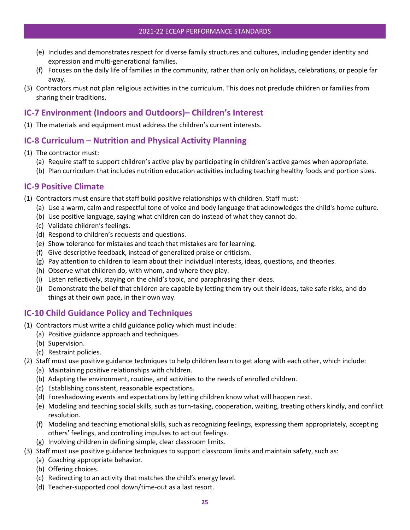- (e) Includes and demonstrates respect for diverse family structures and cultures, including gender identity and expression and multi-generational families.
- (f) Focuses on the daily life of families in the community, rather than only on holidays, celebrations, or people far away.
- (3) Contractors must not plan religious activities in the curriculum. This does not preclude children or families from sharing their traditions.

# <span id="page-29-0"></span>**IC-7 Environment (Indoors and Outdoors)– Children's Interest**

(1) The materials and equipment must address the children's current interests.

# <span id="page-29-1"></span>**IC-8 Curriculum – Nutrition and Physical Activity Planning**

- (1) The contractor must:
	- (a) Require staff to support children's active play by participating in children's active games when appropriate.
	- (b) Plan curriculum that includes nutrition education activities including teaching healthy foods and portion sizes.

### <span id="page-29-2"></span>**IC-9 Positive Climate**

- (1) Contractors must ensure that staff build positive relationships with children. Staff must:
	- (a) Use a warm, calm and respectful tone of voice and body language that acknowledges the child's home culture.
	- (b) Use positive language, saying what children can do instead of what they cannot do.
	- (c) Validate children's feelings.
	- (d) Respond to children's requests and questions.
	- (e) Show tolerance for mistakes and teach that mistakes are for learning.
	- (f) Give descriptive feedback, instead of generalized praise or criticism.
	- (g) Pay attention to children to learn about their individual interests, ideas, questions, and theories.
	- (h) Observe what children do, with whom, and where they play.
	- (i) Listen reflectively, staying on the child's topic, and paraphrasing their ideas.
	- (j) Demonstrate the belief that children are capable by letting them try out their ideas, take safe risks, and do things at their own pace, in their own way.

# <span id="page-29-3"></span>**IC-10 Child Guidance Policy and Techniques**

- (1) Contractors must write a child guidance policy which must include:
	- (a) Positive guidance approach and techniques.
	- (b) Supervision.
	- (c) Restraint policies.
- (2) Staff must use positive guidance techniques to help children learn to get along with each other, which include:
	- (a) Maintaining positive relationships with children.
	- (b) Adapting the environment, routine, and activities to the needs of enrolled children.
	- (c) Establishing consistent, reasonable expectations.
	- (d) Foreshadowing events and expectations by letting children know what will happen next.
	- (e) Modeling and teaching social skills, such as turn-taking, cooperation, waiting, treating others kindly, and conflict resolution.
	- (f) Modeling and teaching emotional skills, such as recognizing feelings, expressing them appropriately, accepting others' feelings, and controlling impulses to act out feelings.
	- (g) Involving children in defining simple, clear classroom limits.
- (3) Staff must use positive guidance techniques to support classroom limits and maintain safety, such as:
	- (a) Coaching appropriate behavior.
	- (b) Offering choices.
	- (c) Redirecting to an activity that matches the child's energy level.
	- (d) Teacher-supported cool down/time-out as a last resort.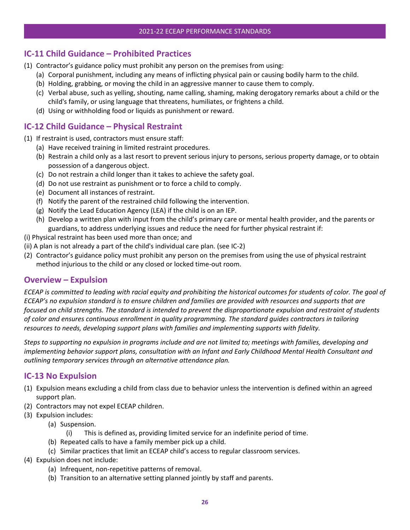# <span id="page-30-0"></span>**IC-11 Child Guidance – Prohibited Practices**

- (1) Contractor's guidance policy must prohibit any person on the premises from using:
	- (a) Corporal punishment, including any means of inflicting physical pain or causing bodily harm to the child.
	- (b) Holding, grabbing, or moving the child in an aggressive manner to cause them to comply.
	- (c) Verbal abuse, such as yelling, shouting, name calling, shaming, making derogatory remarks about a child or the child's family, or using language that threatens, humiliates, or frightens a child.
	- (d) Using or withholding food or liquids as punishment or reward.

# <span id="page-30-1"></span>**IC-12 Child Guidance – Physical Restraint**

- (1) If restraint is used, contractors must ensure staff:
	- (a) Have received training in limited restraint procedures.
	- (b) Restrain a child only as a last resort to prevent serious injury to persons, serious property damage, or to obtain possession of a dangerous object.
	- (c) Do not restrain a child longer than it takes to achieve the safety goal.
	- (d) Do not use restraint as punishment or to force a child to comply.
	- (e) Document all instances of restraint.
	- (f) Notify the parent of the restrained child following the intervention.
	- (g) Notify the Lead Education Agency (LEA) if the child is on an IEP.
	- (h) Develop a written plan with input from the child's primary care or mental health provider, and the parents or guardians, to address underlying issues and reduce the need for further physical restraint if:
- (i) Physical restraint has been used more than once; and
- (ii) A plan is not already a part of the child's individual care plan. (see IC-2)
- (2) Contractor's guidance policy must prohibit any person on the premises from using the use of physical restraint method injurious to the child or any closed or locked time-out room.

#### <span id="page-30-2"></span>**Overview – Expulsion**

*ECEAP is committed to leading with racial equity and prohibiting the historical outcomes for students of color. The goal of ECEAP's no expulsion standard is to ensure children and families are provided with resources and supports that are focused on child strengths. The standard is intended to prevent the disproportionate expulsion and restraint of students of color and ensures continuous enrollment in quality programming. The standard guides contractors in tailoring resources to needs, developing support plans with families and implementing supports with fidelity.*

*Steps to supporting no expulsion in programs include and are not limited to; meetings with families, developing and implementing behavior support plans, consultation with an Infant and Early Childhood Mental Health Consultant and outlining temporary services through an alternative attendance plan.* 

#### <span id="page-30-3"></span>**IC-13 No Expulsion**

- (1) Expulsion means excluding a child from class due to behavior unless the intervention is defined within an agreed support plan.
- (2) Contractors may not expel ECEAP children.
- (3) Expulsion includes:
	- (a) Suspension.
		- (i) This is defined as, providing limited service for an indefinite period of time.
	- (b) Repeated calls to have a family member pick up a child.
	- (c) Similar practices that limit an ECEAP child's access to regular classroom services.
- (4) Expulsion does not include:
	- (a) Infrequent, non-repetitive patterns of removal.
	- (b) Transition to an alternative setting planned jointly by staff and parents.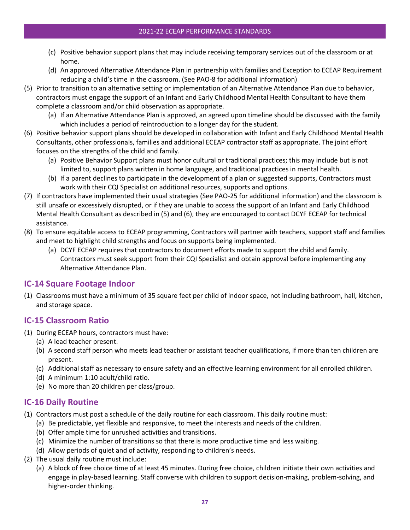#### 2021-22 ECEAP PERFORMANCE STANDARDS

- (c) Positive behavior support plans that may include receiving temporary services out of the classroom or at home.
- (d) An approved Alternative Attendance Plan in partnership with families and Exception to ECEAP Requirement reducing a child's time in the classroom. (See PAO-8 for additional information)
- (5) Prior to transition to an alternative setting or implementation of an Alternative Attendance Plan due to behavior, contractors must engage the support of an Infant and Early Childhood Mental Health Consultant to have them complete a classroom and/or child observation as appropriate.
	- (a) If an Alternative Attendance Plan is approved, an agreed upon timeline should be discussed with the family which includes a period of reintroduction to a longer day for the student.
- (6) Positive behavior support plans should be developed in collaboration with Infant and Early Childhood Mental Health Consultants, other professionals, families and additional ECEAP contractor staff as appropriate. The joint effort focuses on the strengths of the child and family.
	- (a) Positive Behavior Support plans must honor cultural or traditional practices; this may include but is not limited to, support plans written in home language, and traditional practices in mental health.
	- (b) If a parent declines to participate in the development of a plan or suggested supports, Contractors must work with their CQI Specialist on additional resources, supports and options.
- (7) If contractors have implemented their usual strategies (See PAO-25 for additional information) and the classroom is still unsafe or excessively disrupted, or if they are unable to access the support of an Infant and Early Childhood Mental Health Consultant as described in (5) and (6), they are encouraged to contact DCYF ECEAP for technical assistance.
- (8) To ensure equitable access to ECEAP programming, Contractors will partner with teachers, support staff and families and meet to highlight child strengths and focus on supports being implemented.
	- (a) DCYF ECEAP requires that contractors to document efforts made to support the child and family. Contractors must seek support from their CQI Specialist and obtain approval before implementing any Alternative Attendance Plan.

# <span id="page-31-0"></span>**IC-14 Square Footage Indoor**

(1) Classrooms must have a minimum of 35 square feet per child of indoor space, not including bathroom, hall, kitchen, and storage space.

#### <span id="page-31-1"></span>**IC-15 Classroom Ratio**

- (1) During ECEAP hours, contractors must have:
	- (a) A lead teacher present.
	- (b) A second staff person who meets lead teacher or assistant teacher qualifications, if more than ten children are present.
	- (c) Additional staff as necessary to ensure safety and an effective learning environment for all enrolled children.
	- (d) A minimum 1:10 adult/child ratio.
	- (e) No more than 20 children per class/group.

# <span id="page-31-2"></span>**IC-16 Daily Routine**

- (1) Contractors must post a schedule of the daily routine for each classroom. This daily routine must:
	- (a) Be predictable, yet flexible and responsive, to meet the interests and needs of the children.
	- (b) Offer ample time for unrushed activities and transitions.
	- (c) Minimize the number of transitions so that there is more productive time and less waiting.
	- (d) Allow periods of quiet and of activity, responding to children's needs.
- (2) The usual daily routine must include:
	- (a) A block of free choice time of at least 45 minutes. During free choice, children initiate their own activities and engage in play-based learning. Staff converse with children to support decision-making, problem-solving, and higher-order thinking.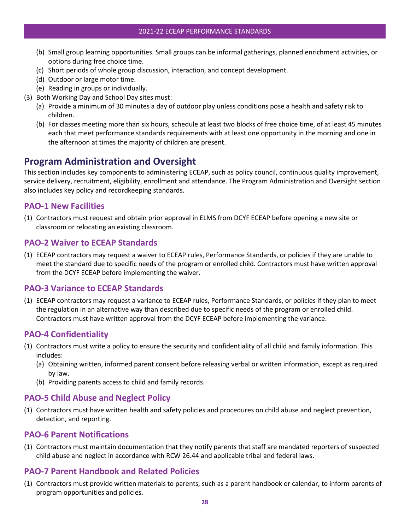- (b) Small group learning opportunities. Small groups can be informal gatherings, planned enrichment activities, or options during free choice time.
- (c) Short periods of whole group discussion, interaction, and concept development.
- (d) Outdoor or large motor time.
- (e) Reading in groups or individually.
- (3) Both Working Day and School Day sites must:
	- (a) Provide a minimum of 30 minutes a day of outdoor play unless conditions pose a health and safety risk to children.
	- (b) For classes meeting more than six hours, schedule at least two blocks of free choice time, of at least 45 minutes each that meet performance standards requirements with at least one opportunity in the morning and one in the afternoon at times the majority of children are present.

# <span id="page-32-0"></span>**Program Administration and Oversight**

This section includes key components to administering ECEAP, such as policy council, continuous quality improvement, service delivery, recruitment, eligibility, enrollment and attendance. The Program Administration and Oversight section also includes key policy and recordkeeping standards.

#### <span id="page-32-1"></span>**PAO-1 New Facilities**

(1) Contractors must request and obtain prior approval in ELMS from DCYF ECEAP before opening a new site or classroom or relocating an existing classroom.

### <span id="page-32-2"></span>**PAO-2 Waiver to ECEAP Standards**

(1) ECEAP contractors may request a waiver to ECEAP rules, Performance Standards, or policies if they are unable to meet the standard due to specific needs of the program or enrolled child. Contractors must have written approval from the DCYF ECEAP before implementing the waiver.

#### <span id="page-32-3"></span>**PAO-3 Variance to ECEAP Standards**

(1) ECEAP contractors may request a variance to ECEAP rules, Performance Standards, or policies if they plan to meet the regulation in an alternative way than described due to specific needs of the program or enrolled child. Contractors must have written approval from the DCYF ECEAP before implementing the variance.

# <span id="page-32-4"></span>**PAO-4 Confidentiality**

- (1) Contractors must write a policy to ensure the security and confidentiality of all child and family information. This includes:
	- (a) Obtaining written, informed parent consent before releasing verbal or written information, except as required by law.
	- (b) Providing parents access to child and family records.

# <span id="page-32-5"></span>**PAO-5 Child Abuse and Neglect Policy**

(1) Contractors must have written health and safety policies and procedures on child abuse and neglect prevention, detection, and reporting.

#### <span id="page-32-6"></span>**PAO-6 Parent Notifications**

(1) Contractors must maintain documentation that they notify parents that staff are mandated reporters of suspected child abuse and neglect in accordance with RCW 26.44 and applicable tribal and federal laws.

# <span id="page-32-7"></span>**PAO-7 Parent Handbook and Related Policies**

(1) Contractors must provide written materials to parents, such as a parent handbook or calendar, to inform parents of program opportunities and policies.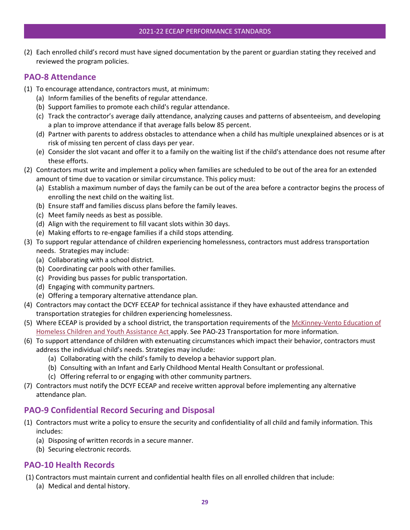(2) Each enrolled child's record must have signed documentation by the parent or guardian stating they received and reviewed the program policies.

#### <span id="page-33-0"></span>**PAO-8 Attendance**

- (1) To encourage attendance, contractors must, at minimum:
	- (a) Inform families of the benefits of regular attendance.
	- (b) Support families to promote each child's regular attendance.
	- (c) Track the contractor's average daily attendance, analyzing causes and patterns of absenteeism, and developing a plan to improve attendance if that average falls below 85 percent.
	- (d) Partner with parents to address obstacles to attendance when a child has multiple unexplained absences or is at risk of missing ten percent of class days per year.
	- (e) Consider the slot vacant and offer it to a family on the waiting list if the child's attendance does not resume after these efforts.
- (2) Contractors must write and implement a policy when families are scheduled to be out of the area for an extended amount of time due to vacation or similar circumstance. This policy must:
	- (a) Establish a maximum number of days the family can be out of the area before a contractor begins the process of enrolling the next child on the waiting list.
	- (b) Ensure staff and families discuss plans before the family leaves.
	- (c) Meet family needs as best as possible.
	- (d) Align with the requirement to fill vacant slots within 30 days.
	- (e) Making efforts to re-engage families if a child stops attending.
- (3) To support regular attendance of children experiencing homelessness, contractors must address transportation needs. Strategies may include:
	- (a) Collaborating with a school district.
	- (b) Coordinating car pools with other families.
	- (c) Providing bus passes for public transportation.
	- (d) Engaging with community partners.
	- (e) Offering a temporary alternative attendance plan.
- (4) Contractors may contact the DCYF ECEAP for technical assistance if they have exhausted attendance and transportation strategies for children experiencing homelessness.
- (5) Where ECEAP is provided by a school district, the transportation requirements of the McKinney-Vento Education of [Homeless Children and Youth Assistance Act](http://www.k12.wa.us/HomelessEd/default.aspx) apply. See PAO-23 Transportation for more information.
- (6) To support attendance of children with extenuating circumstances which impact their behavior, contractors must address the individual child's needs. Strategies may include:
	- (a) Collaborating with the child's family to develop a behavior support plan.
	- (b) Consulting with an Infant and Early Childhood Mental Health Consultant or professional.
	- (c) Offering referral to or engaging with other community partners.
- (7) Contractors must notify the DCYF ECEAP and receive written approval before implementing any alternative attendance plan.

# <span id="page-33-1"></span>**PAO-9 Confidential Record Securing and Disposal**

- (1) Contractors must write a policy to ensure the security and confidentiality of all child and family information. This includes:
	- (a) Disposing of written records in a secure manner.
	- (b) Securing electronic records.

# <span id="page-33-2"></span>**PAO-10 Health Records**

- (1) Contractors must maintain current and confidential health files on all enrolled children that include:
	- (a) Medical and dental history.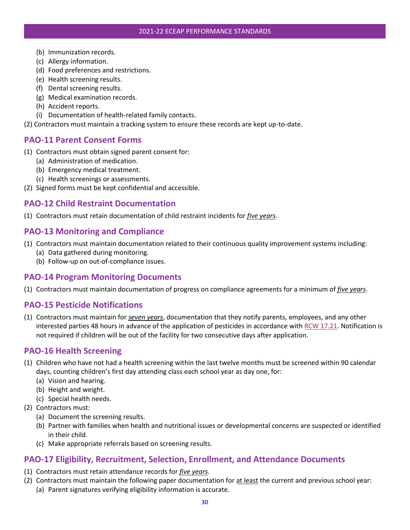- (b) Immunization records.
- (c) Allergy information.
- (d) Food preferences and restrictions.
- (e) Health screening results.
- (f) Dental screening results.
- (g) Medical examination records.
- (h) Accident reports.
- (i) Documentation of health-related family contacts.
- (2) Contractors must maintain a tracking system to ensure these records are kept up-to-date.

#### <span id="page-34-0"></span>**PAO-11 Parent Consent Forms**

- (1) Contractors must obtain signed parent consent for:
	- (a) Administration of medication.
	- (b) Emergency medical treatment.
	- (c) Health screenings or assessments.
- (2) Signed forms must be kept confidential and accessible.

#### <span id="page-34-1"></span>**PAO-12 Child Restraint Documentation**

(1) Contractors must retain documentation of child restraint incidents for *five years*.

#### <span id="page-34-2"></span>**PAO-13 Monitoring and Compliance**

- (1) Contractors must maintain documentation related to their continuous quality improvement systems including:
	- (a) Data gathered during monitoring.
	- (b) Follow-up on out-of-compliance issues.

#### <span id="page-34-3"></span>**PAO-14 Program Monitoring Documents**

(1) Contractors must maintain documentation of progress on compliance agreements for a minimum of *five years*.

#### <span id="page-34-4"></span>**PAO-15 Pesticide Notifications**

(1) Contractors must maintain for *seven years*, documentation that they notify parents, employees, and any other interested parties 48 hours in advance of the application of pesticides in accordance wit[h RCW 17.21.](https://app.leg.wa.gov/rcw/default.aspx?cite=17.21) Notification is not required if children will be out of the facility for two consecutive days after application.

#### <span id="page-34-5"></span>**PAO-16 Health Screening**

- (1) Children who have not had a health screening within the last twelve months must be screened within 90 calendar days, counting children's first day attending class each school year as day one, for:
	- (a) Vision and hearing.
	- (b) Height and weight.
	- (c) Special health needs.
- (2) Contractors must:
	- (a) Document the screening results.
	- (b) Partner with families when health and nutritional issues or developmental concerns are suspected or identified in their child.
	- (c) Make appropriate referrals based on screening results.

#### <span id="page-34-6"></span>**PAO-17 Eligibility, Recruitment, Selection, Enrollment, and Attendance Documents**

- (1) Contractors must retain attendance records for *five years*.
- (2) Contractors must maintain the following paper documentation for at least the current and previous school year:
	- (a) Parent signatures verifying eligibility information is accurate.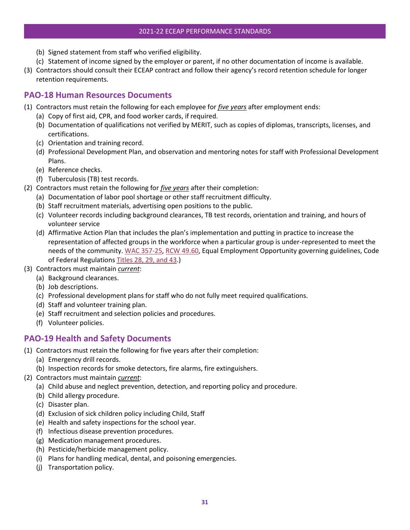- (b) Signed statement from staff who verified eligibility.
- (c) Statement of income signed by the employer or parent, if no other documentation of income is available.
- (3) Contractors should consult their ECEAP contract and follow their agency's record retention schedule for longer retention requirements.

# <span id="page-35-0"></span>**PAO-18 Human Resources Documents**

- (1) Contractors must retain the following for each employee for *five years* after employment ends:
	- (a) Copy of first aid, CPR, and food worker cards, if required.
	- (b) Documentation of qualifications not verified by MERIT, such as copies of diplomas, transcripts, licenses, and certifications.
	- (c) Orientation and training record.
	- (d) Professional Development Plan, and observation and mentoring notes for staff with Professional Development Plans.
	- (e) Reference checks.
	- (f) Tuberculosis (TB) test records.
- (2) Contractors must retain the following for *five years* after their completion:
	- (a) Documentation of labor pool shortage or other staff recruitment difficulty.
	- (b) Staff recruitment materials, advertising open positions to the public.
	- (c) Volunteer records including background clearances, TB test records, orientation and training, and hours of volunteer service
	- (d) Affirmative Action Plan that includes the plan's implementation and putting in practice to increase the representation of affected groups in the workforce when a particular group is under-represented to meet the needs of the community[. WAC 357-25,](https://apps.leg.wa.gov/WAC/default.aspx?cite=357-25) [RCW 49.60,](http://apps.leg.wa.gov/RCW/default.aspx?cite=49.60) Equal Employment Opportunity governing guidelines, Code of Federal Regulations [Titles 28, 29, and 43.](https://www.govinfo.gov/app/collection/cfr/2020/))
- (3) Contractors must maintain *current*:
	- (a) Background clearances.
	- (b) Job descriptions.
	- (c) Professional development plans for staff who do not fully meet required qualifications.
	- (d) Staff and volunteer training plan.
	- (e) Staff recruitment and selection policies and procedures.
	- (f) Volunteer policies.

# <span id="page-35-1"></span>**PAO-19 Health and Safety Documents**

- (1) Contractors must retain the following for five years after their completion:
	- (a) Emergency drill records.
	- (b) Inspection records for smoke detectors, fire alarms, fire extinguishers.
- (2) Contractors must maintain *current*:
	- (a) Child abuse and neglect prevention, detection, and reporting policy and procedure.
	- (b) Child allergy procedure.
	- (c) Disaster plan.
	- (d) Exclusion of sick children policy including Child, Staff
	- (e) Health and safety inspections for the school year.
	- (f) Infectious disease prevention procedures.
	- (g) Medication management procedures.
	- (h) Pesticide/herbicide management policy.
	- (i) Plans for handling medical, dental, and poisoning emergencies.
	- (j) Transportation policy.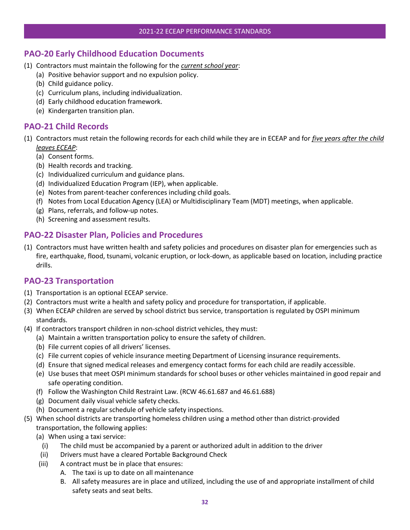# <span id="page-36-0"></span>**PAO-20 Early Childhood Education Documents**

- (1) Contractors must maintain the following for the *current school year*:
	- (a) Positive behavior support and no expulsion policy.
	- (b) Child guidance policy.
	- (c) Curriculum plans, including individualization.
	- (d) Early childhood education framework.
	- (e) Kindergarten transition plan.

#### <span id="page-36-1"></span>**PAO-21 Child Records**

- (1) Contractors must retain the following records for each child while they are in ECEAP and for *five years after the child leaves ECEAP*:
	- (a) Consent forms.
	- (b) Health records and tracking.
	- (c) Individualized curriculum and guidance plans.
	- (d) Individualized Education Program (IEP), when applicable.
	- (e) Notes from parent-teacher conferences including child goals.
	- (f) Notes from Local Education Agency (LEA) or Multidisciplinary Team (MDT) meetings, when applicable.
	- (g) Plans, referrals, and follow-up notes.
	- (h) Screening and assessment results.

### <span id="page-36-2"></span>**PAO-22 Disaster Plan, Policies and Procedures**

(1) Contractors must have written health and safety policies and procedures on disaster plan for emergencies such as fire, earthquake, flood, tsunami, volcanic eruption, or lock-down, as applicable based on location, including practice drills.

#### <span id="page-36-3"></span>**PAO-23 Transportation**

- (1) Transportation is an optional ECEAP service.
- (2) Contractors must write a health and safety policy and procedure for transportation, if applicable.
- (3) When ECEAP children are served by school district bus service, transportation is regulated by OSPI minimum standards.
- (4) If contractors transport children in non-school district vehicles, they must:
	- (a) Maintain a written transportation policy to ensure the safety of children.
	- (b) File current copies of all drivers' licenses.
	- (c) File current copies of vehicle insurance meeting Department of Licensing insurance requirements.
	- (d) Ensure that signed medical releases and emergency contact forms for each child are readily accessible.
	- (e) Use buses that meet OSPI minimum standards for school buses or other vehicles maintained in good repair and safe operating condition.
	- (f) Follow the Washington Child Restraint Law. (RCW 46.61.687 and 46.61.688)
	- (g) Document daily visual vehicle safety checks.
	- (h) Document a regular schedule of vehicle safety inspections.
- (5) When school districts are transporting homeless children using a method other than district-provided transportation, the following applies:
	- (a) When using a taxi service:
		- (i) The child must be accompanied by a parent or authorized adult in addition to the driver
	- (ii) Drivers must have a cleared Portable Background Check
	- (iii) A contract must be in place that ensures:
		- A. The taxi is up to date on all maintenance
			- B. All safety measures are in place and utilized, including the use of and appropriate installment of child safety seats and seat belts.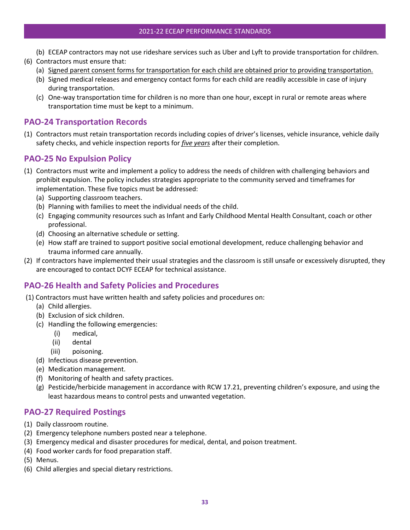- (b) ECEAP contractors may not use rideshare services such as Uber and Lyft to provide transportation for children.
- (6) Contractors must ensure that:
	- (a) Signed parent consent forms for transportation for each child are obtained prior to providing transportation.
	- (b) Signed medical releases and emergency contact forms for each child are readily accessible in case of injury during transportation.
	- (c) One-way transportation time for children is no more than one hour, except in rural or remote areas where transportation time must be kept to a minimum.

#### <span id="page-37-0"></span>**PAO-24 Transportation Records**

(1) Contractors must retain transportation records including copies of driver's licenses, vehicle insurance, vehicle daily safety checks, and vehicle inspection reports for *five years* after their completion.

### <span id="page-37-1"></span>**PAO-25 No Expulsion Policy**

- (1) Contractors must write and implement a policy to address the needs of children with challenging behaviors and prohibit expulsion. The policy includes strategies appropriate to the community served and timeframes for implementation. These five topics must be addressed:
	- (a) Supporting classroom teachers.
	- (b) Planning with families to meet the individual needs of the child.
	- (c) Engaging community resources such as Infant and Early Childhood Mental Health Consultant, coach or other professional.
	- (d) Choosing an alternative schedule or setting.
	- (e) How staff are trained to support positive social emotional development, reduce challenging behavior and trauma informed care annually.
- (2) If contractors have implemented their usual strategies and the classroom is still unsafe or excessively disrupted, they are encouraged to contact DCYF ECEAP for technical assistance.

#### <span id="page-37-2"></span>**PAO-26 Health and Safety Policies and Procedures**

- (1) Contractors must have written health and safety policies and procedures on:
	- (a) Child allergies.
	- (b) Exclusion of sick children.
	- (c) Handling the following emergencies:
		- (i) medical,
		- (ii) dental
		- (iii) poisoning.
	- (d) Infectious disease prevention.
	- (e) Medication management.
	- (f) Monitoring of health and safety practices.
	- (g) Pesticide/herbicide management in accordance with RCW 17.21, preventing children's exposure, and using the least hazardous means to control pests and unwanted vegetation.

# <span id="page-37-3"></span>**PAO-27 Required Postings**

- (1) Daily classroom routine.
- (2) Emergency telephone numbers posted near a telephone.
- (3) Emergency medical and disaster procedures for medical, dental, and poison treatment.
- (4) Food worker cards for food preparation staff.
- (5) Menus.
- (6) Child allergies and special dietary restrictions.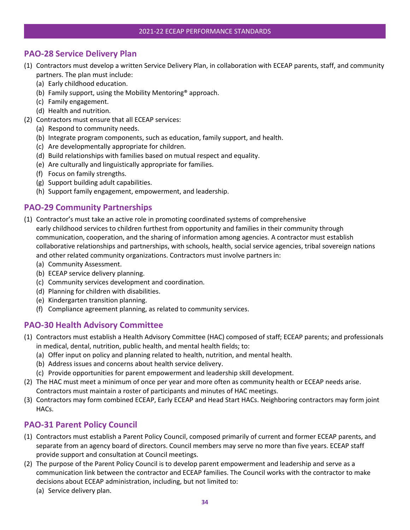# <span id="page-38-0"></span>**PAO-28 Service Delivery Plan**

- (1) Contractors must develop a written Service Delivery Plan, in collaboration with ECEAP parents, staff, and community partners. The plan must include:
	- (a) Early childhood education.
	- (b) Family support, using the Mobility Mentoring® approach.
	- (c) Family engagement.
	- (d) Health and nutrition.
- (2) Contractors must ensure that all ECEAP services:
	- (a) Respond to community needs.
	- (b) Integrate program components, such as education, family support, and health.
	- (c) Are developmentally appropriate for children.
	- (d) Build relationships with families based on mutual respect and equality.
	- (e) Are culturally and linguistically appropriate for families.
	- (f) Focus on family strengths.
	- (g) Support building adult capabilities.
	- (h) Support family engagement, empowerment, and leadership.

# <span id="page-38-1"></span>**PAO-29 Community Partnerships**

- (1) Contractor's must take an active role in promoting coordinated systems of comprehensive early childhood services to children furthest from opportunity and families in their community through communication, cooperation, and the sharing of information among agencies. A contractor must establish collaborative relationships and partnerships, with schools, health, social service agencies, tribal sovereign nations and other related community organizations. Contractors must involve partners in:
	- (a) Community Assessment.
	- (b) ECEAP service delivery planning.
	- (c) Community services development and coordination.
	- (d) Planning for children with disabilities.
	- (e) Kindergarten transition planning.
	- (f) Compliance agreement planning, as related to community services.

# <span id="page-38-2"></span>**PAO-30 Health Advisory Committee**

- (1) Contractors must establish a Health Advisory Committee (HAC) composed of staff; ECEAP parents; and professionals in medical, dental, nutrition, public health, and mental health fields; to:
	- (a) Offer input on policy and planning related to health, nutrition, and mental health.
	- (b) Address issues and concerns about health service delivery.
	- (c) Provide opportunities for parent empowerment and leadership skill development.
- (2) The HAC must meet a minimum of once per year and more often as community health or ECEAP needs arise. Contractors must maintain a roster of participants and minutes of HAC meetings.
- (3) Contractors may form combined ECEAP, Early ECEAP and Head Start HACs. Neighboring contractors may form joint HACs.

# <span id="page-38-3"></span>**PAO-31 Parent Policy Council**

- (1) Contractors must establish a Parent Policy Council, composed primarily of current and former ECEAP parents, and separate from an agency board of directors. Council members may serve no more than five years. ECEAP staff provide support and consultation at Council meetings.
- (2) The purpose of the Parent Policy Council is to develop parent empowerment and leadership and serve as a communication link between the contractor and ECEAP families. The Council works with the contractor to make decisions about ECEAP administration, including, but not limited to:
	- (a) Service delivery plan.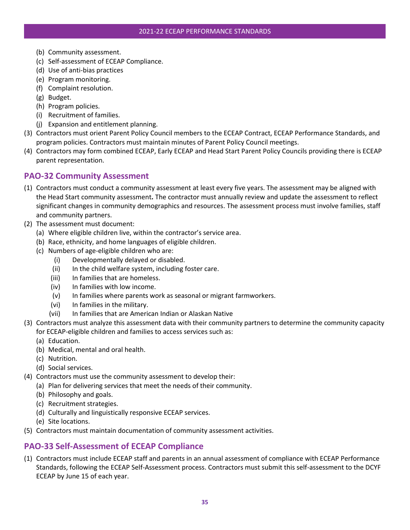- (b) Community assessment.
- (c) Self-assessment of ECEAP Compliance.
- (d) Use of anti-bias practices
- (e) Program monitoring.
- (f) Complaint resolution.
- (g) Budget.
- (h) Program policies.
- (i) Recruitment of families.
- (j) Expansion and entitlement planning.
- (3) Contractors must orient Parent Policy Council members to the ECEAP Contract, ECEAP Performance Standards, and program policies. Contractors must maintain minutes of Parent Policy Council meetings.
- (4) Contractors may form combined ECEAP, Early ECEAP and Head Start Parent Policy Councils providing there is ECEAP parent representation.

#### <span id="page-39-0"></span>**PAO-32 Community Assessment**

- (1) Contractors must conduct a community assessment at least every five years. The assessment may be aligned with the Head Start community assessment**.** The contractor must annually review and update the assessment to reflect significant changes in community demographics and resources. The assessment process must involve families, staff and community partners.
- (2) The assessment must document:
	- (a) Where eligible children live, within the contractor's service area.
	- (b) Race, ethnicity, and home languages of eligible children.
	- (c) Numbers of age-eligible children who are:
		- (i) Developmentally delayed or disabled.
		- (ii) In the child welfare system, including foster care.
		- (iii) In families that are homeless.
		- (iv) In families with low income.
		- (v) In families where parents work as seasonal or migrant farmworkers.
		- (vi) In families in the military.
		- (vii) In families that are American Indian or Alaskan Native
- (3) Contractors must analyze this assessment data with their community partners to determine the community capacity
	- for ECEAP-eligible children and families to access services such as:
	- (a) Education.
	- (b) Medical, mental and oral health.
	- (c) Nutrition.
	- (d) Social services.
- (4) Contractors must use the community assessment to develop their:
	- (a) Plan for delivering services that meet the needs of their community.
	- (b) Philosophy and goals.
	- (c) Recruitment strategies.
	- (d) Culturally and linguistically responsive ECEAP services.
	- (e) Site locations.
- (5) Contractors must maintain documentation of community assessment activities.

# <span id="page-39-1"></span>**PAO-33 Self-Assessment of ECEAP Compliance**

(1) Contractors must include ECEAP staff and parents in an annual assessment of compliance with ECEAP Performance Standards, following the ECEAP Self-Assessment process. Contractors must submit this self-assessment to the DCYF ECEAP by June 15 of each year.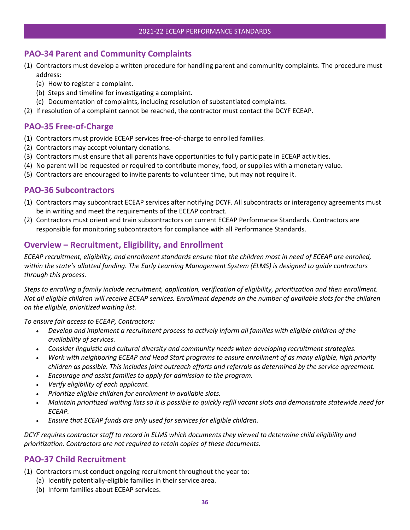#### <span id="page-40-0"></span>**PAO-34 Parent and Community Complaints**

- (1) Contractors must develop a written procedure for handling parent and community complaints. The procedure must address:
	- (a) How to register a complaint.
	- (b) Steps and timeline for investigating a complaint.
	- (c) Documentation of complaints, including resolution of substantiated complaints.
- (2) If resolution of a complaint cannot be reached, the contractor must contact the DCYF ECEAP.

# <span id="page-40-1"></span>**PAO-35 Free-of-Charge**

- (1) Contractors must provide ECEAP services free-of-charge to enrolled families.
- (2) Contractors may accept voluntary donations.
- (3) Contractors must ensure that all parents have opportunities to fully participate in ECEAP activities.
- (4) No parent will be requested or required to contribute money, food, or supplies with a monetary value.
- (5) Contractors are encouraged to invite parents to volunteer time, but may not require it.

#### <span id="page-40-2"></span>**PAO-36 Subcontractors**

- (1) Contractors may subcontract ECEAP services after notifying DCYF. All subcontracts or interagency agreements must be in writing and meet the requirements of the ECEAP contract.
- (2) Contractors must orient and train subcontractors on current ECEAP Performance Standards. Contractors are responsible for monitoring subcontractors for compliance with all Performance Standards.

#### <span id="page-40-3"></span>**Overview – Recruitment, Eligibility, and Enrollment**

*ECEAP recruitment, eligibility, and enrollment standards ensure that the children most in need of ECEAP are enrolled, within the state's allotted funding. The Early Learning Management System (ELMS) is designed to guide contractors through this process.* 

*Steps to enrolling a family include recruitment, application, verification of eligibility, prioritization and then enrollment. Not all eligible children will receive ECEAP services. Enrollment depends on the number of available slots for the children on the eligible, prioritized waiting list.* 

*To ensure fair access to ECEAP, Contractors:* 

- *Develop and implement a recruitment process to actively inform all families with eligible children of the availability of services.*
- *Consider linguistic and cultural diversity and community needs when developing recruitment strategies.*
- *Work with neighboring ECEAP and Head Start programs to ensure enrollment of as many eligible, high priority children as possible. This includes joint outreach efforts and referrals as determined by the service agreement.*
- *Encourage and assist families to apply for admission to the program.*
- *Verify eligibility of each applicant.*
- *Prioritize eligible children for enrollment in available slots.*
- *Maintain prioritized waiting lists so it is possible to quickly refill vacant slots and demonstrate statewide need for ECEAP.*
- *Ensure that ECEAP funds are only used for services for eligible children.*

*DCYF requires contractor staff to record in ELMS which documents they viewed to determine child eligibility and prioritization. Contractors are not required to retain copies of these documents.*

#### <span id="page-40-4"></span>**PAO-37 Child Recruitment**

(1) Contractors must conduct ongoing recruitment throughout the year to:

- (a) Identify potentially-eligible families in their service area.
- (b) Inform families about ECEAP services.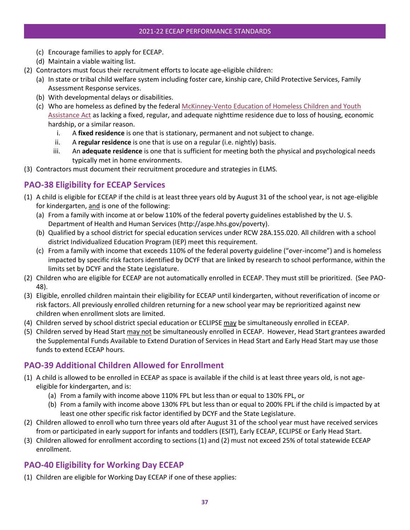- (c) Encourage families to apply for ECEAP.
- (d) Maintain a viable waiting list.
- (2) Contractors must focus their recruitment efforts to locate age-eligible children:
	- (a) In state or tribal child welfare system including foster care, kinship care, Child Protective Services, Family Assessment Response services.
	- (b) With developmental delays or disabilities.
	- (c) Who are homeless as defined by the federa[l McKinney-Vento Education of Homeless Children and Youth](http://www.k12.wa.us/HomelessEd/default.aspx)  [Assistance Act](http://www.k12.wa.us/HomelessEd/default.aspx) as lacking a fixed, regular, and adequate nighttime residence due to loss of housing, economic hardship, or a similar reason.
		- i. A **fixed residence** is one that is stationary, permanent and not subject to change.
		- ii. A **regular residence** is one that is use on a regular (i.e. nightly) basis.
		- iii. An **adequate residence** is one that is sufficient for meeting both the physical and psychological needs typically met in home environments.
- (3) Contractors must document their recruitment procedure and strategies in ELMS.

# <span id="page-41-0"></span>**PAO-38 Eligibility for ECEAP Services**

- (1) A child is eligible for ECEAP if the child is at least three years old by August 31 of the school year, is not age-eligible for kindergarten, and is one of the following:
	- (a) From a family with income at or below 110% of the federal poverty guidelines established by the U. S. Department of Health and Human Services (http://aspe.hhs.gov/poverty).
	- (b) Qualified by a school district for special education services under RCW 28A.155.020. All children with a school district Individualized Education Program (IEP) meet this requirement.
	- (c) From a family with income that exceeds 110% of the federal poverty guideline ("over-income") and is homeless impacted by specific risk factors identified by DCYF that are linked by research to school performance, within the limits set by DCYF and the State Legislature.
- (2) Children who are eligible for ECEAP are not automatically enrolled in ECEAP. They must still be prioritized. (See PAO-48).
- (3) Eligible, enrolled children maintain their eligibility for ECEAP until kindergarten, without reverification of income or risk factors. All previously enrolled children returning for a new school year may be reprioritized against new children when enrollment slots are limited.
- (4) Children served by school district special education or ECLIPSE may be simultaneously enrolled in ECEAP.
- (5) Children served by Head Start may not be simultaneously enrolled in ECEAP. However, Head Start grantees awarded the Supplemental Funds Available to Extend Duration of Services in Head Start and Early Head Start may use those funds to extend ECEAP hours.

# <span id="page-41-1"></span>**PAO-39 Additional Children Allowed for Enrollment**

- (1) A child is allowed to be enrolled in ECEAP as space is available if the child is at least three years old, is not ageeligible for kindergarten, and is:
	- (a) From a family with income above 110% FPL but less than or equal to 130% FPL, or
	- (b) From a family with income above 130% FPL but less than or equal to 200% FPL if the child is impacted by at least one other specific risk factor identified by DCYF and the State Legislature.
- (2) Children allowed to enroll who turn three years old after August 31 of the school year must have received services from or participated in early support for infants and toddlers (ESIT), Early ECEAP, ECLIPSE or Early Head Start.
- (3) Children allowed for enrollment according to sections (1) and (2) must not exceed 25% of total statewide ECEAP enrollment.

# <span id="page-41-2"></span>**PAO-40 Eligibility for Working Day ECEAP**

(1) Children are eligible for Working Day ECEAP if one of these applies: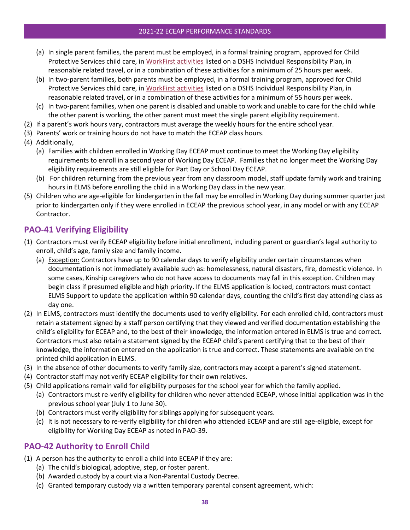#### 2021-22 ECEAP PERFORMANCE STANDARDS

- (a) In single parent families, the parent must be employed, in a formal training program, approved for Child Protective Services child care, in [WorkFirst activities](http://apps.leg.wa.gov/WAC/default.aspx?cite=388-310-0200) listed on a DSHS Individual Responsibility Plan, in reasonable related travel, or in a combination of these activities for a minimum of 25 hours per week.
- (b) In two-parent families, both parents must be employed, in a formal training program, approved for Child Protective Services child care, in [WorkFirst activities](http://apps.leg.wa.gov/WAC/default.aspx?cite=388-310-0200) listed on a DSHS Individual Responsibility Plan, in reasonable related travel, or in a combination of these activities for a minimum of 55 hours per week.
- (c) In two-parent families, when one parent is disabled and unable to work and unable to care for the child while the other parent is working, the other parent must meet the single parent eligibility requirement.
- (2) If a parent's work hours vary, contractors must average the weekly hours for the entire school year.
- (3) Parents' work or training hours do not have to match the ECEAP class hours.
- (4) Additionally,
	- (a) Families with children enrolled in Working Day ECEAP must continue to meet the Working Day eligibility requirements to enroll in a second year of Working Day ECEAP. Families that no longer meet the Working Day eligibility requirements are still eligible for Part Day or School Day ECEAP.
	- (b) For children returning from the previous year from any classroom model, staff update family work and training hours in ELMS before enrolling the child in a Working Day class in the new year.
- (5) Children who are age-eligible for kindergarten in the fall may be enrolled in Working Day during summer quarter just prior to kindergarten only if they were enrolled in ECEAP the previous school year, in any model or with any ECEAP Contractor.

# <span id="page-42-0"></span>**PAO-41 Verifying Eligibility**

- (1) Contractors must verify ECEAP eligibility before initial enrollment, including parent or guardian's legal authority to enroll, child's age, family size and family income.
	- (a) Exception: Contractors have up to 90 calendar days to verify eligibility under certain circumstances when documentation is not immediately available such as: homelessness, natural disasters, fire, domestic violence. In some cases, Kinship caregivers who do not have access to documents may fall in this exception. Children may begin class if presumed eligible and high priority. If the ELMS application is locked, contractors must contact ELMS Support to update the application within 90 calendar days, counting the child's first day attending class as day one.
- (2) In ELMS, contractors must identify the documents used to verify eligibility. For each enrolled child, contractors must retain a statement signed by a staff person certifying that they viewed and verified documentation establishing the child's eligibility for ECEAP and, to the best of their knowledge, the information entered in ELMS is true and correct. Contractors must also retain a statement signed by the ECEAP child's parent certifying that to the best of their knowledge, the information entered on the application is true and correct. These statements are available on the printed child application in ELMS.
- (3) In the absence of other documents to verify family size, contractors may accept a parent's signed statement.
- (4) Contractor staff may not verify ECEAP eligibility for their own relatives.
- (5) Child applications remain valid for eligibility purposes for the school year for which the family applied.
	- (a) Contractors must re-verify eligibility for children who never attended ECEAP, whose initial application was in the previous school year (July 1 to June 30).
	- (b) Contractors must verify eligibility for siblings applying for subsequent years.
	- (c) It is not necessary to re-verify eligibility for children who attended ECEAP and are still age-eligible, except for eligibility for Working Day ECEAP as noted in PAO-39.

# <span id="page-42-1"></span>**PAO-42 Authority to Enroll Child**

- (1) A person has the authority to enroll a child into ECEAP if they are:
	- (a) The child's biological, adoptive, step, or foster parent.
	- (b) Awarded custody by a court via a Non-Parental Custody Decree.
	- (c) Granted temporary custody via a written temporary parental consent agreement, which: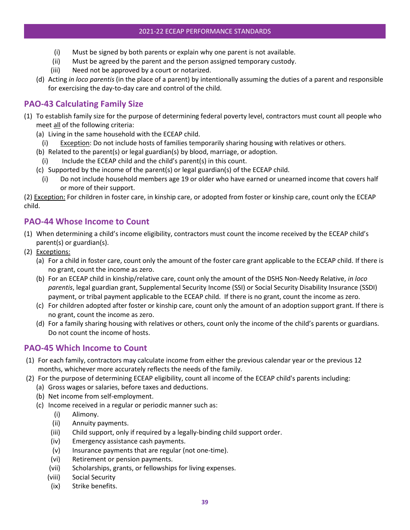- (i) Must be signed by both parents or explain why one parent is not available.
- (ii) Must be agreed by the parent and the person assigned temporary custody.
- (iii) Need not be approved by a court or notarized.
- (d) Acting *in loco parentis* (in the place of a parent) by intentionally assuming the duties of a parent and responsible for exercising the day-to-day care and control of the child.

# <span id="page-43-0"></span>**PAO-43 Calculating Family Size**

- (1) To establish family size for the purpose of determining federal poverty level, contractors must count all people who meet all of the following criteria:
	- (a) Living in the same household with the ECEAP child.
	- (i) Exception: Do not include hosts of families temporarily sharing housing with relatives or others.
	- (b) Related to the parent(s) or legal guardian(s) by blood, marriage, or adoption.
	- (i) Include the ECEAP child and the child's parent(s) in this count.
	- (c) Supported by the income of the parent(s) or legal guardian(s) of the ECEAP child.
		- (i) Do not include household members age 19 or older who have earned or unearned income that covers half or more of their support.

(2) Exception: For children in foster care, in kinship care, or adopted from foster or kinship care, count only the ECEAP child.

# <span id="page-43-1"></span>**PAO-44 Whose Income to Count**

- (1) When determining a child's income eligibility, contractors must count the income received by the ECEAP child's parent(s) or guardian(s).
- (2) Exceptions:
	- (a) For a child in foster care, count only the amount of the foster care grant applicable to the ECEAP child. If there is no grant, count the income as zero.
	- (b) For an ECEAP child in kinship/relative care, count only the amount of the DSHS Non-Needy Relative, *in loco parentis*, legal guardian grant, Supplemental Security Income (SSI) or Social Security Disability Insurance (SSDI) payment, or tribal payment applicable to the ECEAP child. If there is no grant, count the income as zero.
	- (c) For children adopted after foster or kinship care, count only the amount of an adoption support grant. If there is no grant, count the income as zero.
	- (d) For a family sharing housing with relatives or others, count only the income of the child's parents or guardians. Do not count the income of hosts.

#### <span id="page-43-2"></span>**PAO-45 Which Income to Count**

- (1) For each family, contractors may calculate income from either the previous calendar year or the previous 12 months, whichever more accurately reflects the needs of the family.
- (2) For the purpose of determining ECEAP eligibility, count all income of the ECEAP child's parents including:
	- (a) Gross wages or salaries, before taxes and deductions.
	- (b) Net income from self-employment.
	- (c) Income received in a regular or periodic manner such as:
		- (i) Alimony.
			- (ii) Annuity payments.
			- (iii) Child support, only if required by a legally-binding child support order.
			- (iv) Emergency assistance cash payments.
			- (v) Insurance payments that are regular (not one-time).
			- (vi) Retirement or pension payments.
		- (vii) Scholarships, grants, or fellowships for living expenses.
		- (viii) Social Security
		- (ix) Strike benefits.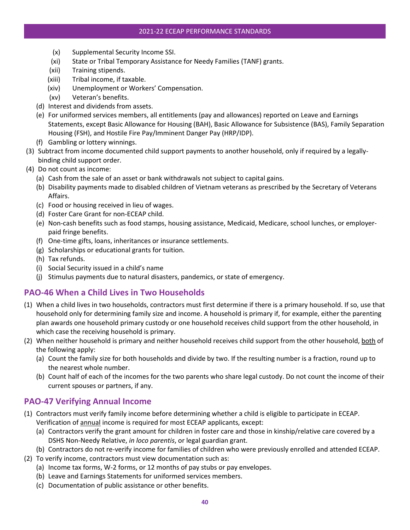#### 2021-22 ECEAP PERFORMANCE STANDARDS

- (x) Supplemental Security Income SSI.
- (xi) State or Tribal Temporary Assistance for Needy Families (TANF) grants.
- (xii) Training stipends.
- (xiii) Tribal income, if taxable.
- (xiv) Unemployment or Workers' Compensation.
- (xv) Veteran's benefits.
- (d) Interest and dividends from assets.
- (e) For uniformed services members, all entitlements (pay and allowances) reported on Leave and Earnings Statements, except Basic Allowance for Housing (BAH), Basic Allowance for Subsistence (BAS), Family Separation Housing (FSH), and Hostile Fire Pay/Imminent Danger Pay (HRP/IDP).
- (f) Gambling or lottery winnings.
- (3) Subtract from income documented child support payments to another household, only if required by a legallybinding child support order.
- (4) Do not count as income:
	- (a) Cash from the sale of an asset or bank withdrawals not subject to capital gains.
	- (b) Disability payments made to disabled children of Vietnam veterans as prescribed by the Secretary of Veterans Affairs.
	- (c) Food or housing received in lieu of wages.
	- (d) Foster Care Grant for non-ECEAP child.
	- (e) Non-cash benefits such as food stamps, housing assistance, Medicaid, Medicare, school lunches, or employerpaid fringe benefits.
	- (f) One-time gifts, loans, inheritances or insurance settlements.
	- (g) Scholarships or educational grants for tuition.
	- (h) Tax refunds.
	- (i) Social Security issued in a child's name
	- (j) Stimulus payments due to natural disasters, pandemics, or state of emergency.

#### <span id="page-44-0"></span>**PAO-46 When a Child Lives in Two Households**

- (1) When a child lives in two households, contractors must first determine if there is a primary household. If so, use that household only for determining family size and income. A household is primary if, for example, either the parenting plan awards one household primary custody or one household receives child support from the other household, in which case the receiving household is primary.
- (2) When neither household is primary and neither household receives child support from the other household, both of the following apply:
	- (a) Count the family size for both households and divide by two. If the resulting number is a fraction, round up to the nearest whole number.
	- (b) Count half of each of the incomes for the two parents who share legal custody. Do not count the income of their current spouses or partners, if any.

# <span id="page-44-1"></span>**PAO-47 Verifying Annual Income**

- (1) Contractors must verify family income before determining whether a child is eligible to participate in ECEAP. Verification of annual income is required for most ECEAP applicants, except:
	- (a) Contractors verify the grant amount for children in foster care and those in kinship/relative care covered by a DSHS Non-Needy Relative, *in loco parentis*, or legal guardian grant.
	- (b) Contractors do not re-verify income for families of children who were previously enrolled and attended ECEAP.
- (2) To verify income, contractors must view documentation such as:
	- (a) Income tax forms, W-2 forms, or 12 months of pay stubs or pay envelopes.
	- (b) Leave and Earnings Statements for uniformed services members.
	- (c) Documentation of public assistance or other benefits.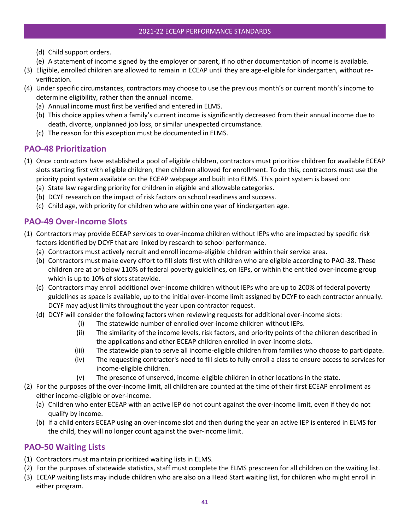- (d) Child support orders.
- (e) A statement of income signed by the employer or parent, if no other documentation of income is available.
- (3) Eligible, enrolled children are allowed to remain in ECEAP until they are age-eligible for kindergarten, without reverification.
- (4) Under specific circumstances, contractors may choose to use the previous month's or current month's income to determine eligibility, rather than the annual income.
	- (a) Annual income must first be verified and entered in ELMS.
	- (b) This choice applies when a family's current income is significantly decreased from their annual income due to death, divorce, unplanned job loss, or similar unexpected circumstance.
	- (c) The reason for this exception must be documented in ELMS.

### <span id="page-45-0"></span>**PAO-48 Prioritization**

- (1) Once contractors have established a pool of eligible children, contractors must prioritize children for available ECEAP slots starting first with eligible children, then children allowed for enrollment. To do this, contractors must use the priority point system available on the ECEAP webpage and built into ELMS. This point system is based on:
	- (a) State law regarding priority for children in eligible and allowable categories.
	- (b) DCYF research on the impact of risk factors on school readiness and success.
	- (c) Child age, with priority for children who are within one year of kindergarten age.

### <span id="page-45-1"></span>**PAO-49 Over-Income Slots**

- (1) Contractors may provide ECEAP services to over-income children without IEPs who are impacted by specific risk factors identified by DCYF that are linked by research to school performance.
	- (a) Contractors must actively recruit and enroll income-eligible children within their service area.
	- (b) Contractors must make every effort to fill slots first with children who are eligible according to PAO-38. These children are at or below 110% of federal poverty guidelines, on IEPs, or within the entitled over-income group which is up to 10% of slots statewide.
	- (c) Contractors may enroll additional over-income children without IEPs who are up to 200% of federal poverty guidelines as space is available, up to the initial over-income limit assigned by DCYF to each contractor annually. DCYF may adjust limits throughout the year upon contractor request.
	- (d) DCYF will consider the following factors when reviewing requests for additional over-income slots:
		- (i) The statewide number of enrolled over-income children without IEPs.
		- (ii) The similarity of the income levels, risk factors, and priority points of the children described in the applications and other ECEAP children enrolled in over-income slots.
		- (iii) The statewide plan to serve all income-eligible children from families who choose to participate.
		- (iv) The requesting contractor's need to fill slots to fully enroll a class to ensure access to services for income-eligible children.
		- (v) The presence of unserved, income-eligible children in other locations in the state.
- (2) For the purposes of the over-income limit, all children are counted at the time of their first ECEAP enrollment as either income-eligible or over-income.
	- (a) Children who enter ECEAP with an active IEP do not count against the over-income limit, even if they do not qualify by income.
	- (b) If a child enters ECEAP using an over-income slot and then during the year an active IEP is entered in ELMS for the child, they will no longer count against the over-income limit.

#### <span id="page-45-2"></span>**PAO-50 Waiting Lists**

- (1) Contractors must maintain prioritized waiting lists in ELMS.
- (2) For the purposes of statewide statistics, staff must complete the ELMS prescreen for all children on the waiting list.
- (3) ECEAP waiting lists may include children who are also on a Head Start waiting list, for children who might enroll in either program.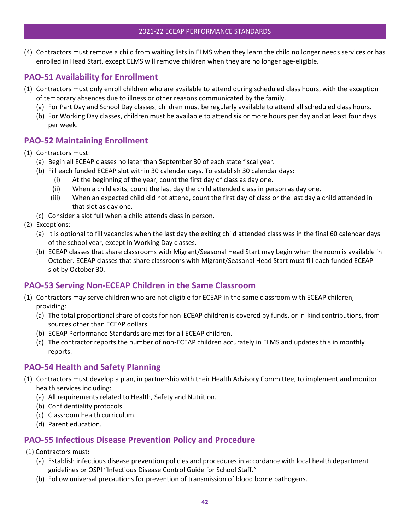#### 2021-22 ECEAP PERFORMANCE STANDARDS

(4) Contractors must remove a child from waiting lists in ELMS when they learn the child no longer needs services or has enrolled in Head Start, except ELMS will remove children when they are no longer age-eligible.

# <span id="page-46-0"></span>**PAO-51 Availability for Enrollment**

- (1) Contractors must only enroll children who are available to attend during scheduled class hours, with the exception of temporary absences due to illness or other reasons communicated by the family.
	- (a) For Part Day and School Day classes, children must be regularly available to attend all scheduled class hours.
	- (b) For Working Day classes, children must be available to attend six or more hours per day and at least four days per week.

### <span id="page-46-1"></span>**PAO-52 Maintaining Enrollment**

- (1) Contractors must:
	- (a) Begin all ECEAP classes no later than September 30 of each state fiscal year.
	- (b) Fill each funded ECEAP slot within 30 calendar days. To establish 30 calendar days:
		- (i) At the beginning of the year, count the first day of class as day one.
		- (ii) When a child exits, count the last day the child attended class in person as day one.
		- (iii) When an expected child did not attend, count the first day of class or the last day a child attended in that slot as day one.
	- (c) Consider a slot full when a child attends class in person.
- (2) Exceptions:
	- (a) It is optional to fill vacancies when the last day the exiting child attended class was in the final 60 calendar days of the school year, except in Working Day classes.
	- (b) ECEAP classes that share classrooms with Migrant/Seasonal Head Start may begin when the room is available in October. ECEAP classes that share classrooms with Migrant/Seasonal Head Start must fill each funded ECEAP slot by October 30.

#### <span id="page-46-2"></span>**PAO-53 Serving Non-ECEAP Children in the Same Classroom**

- (1) Contractors may serve children who are not eligible for ECEAP in the same classroom with ECEAP children, providing:
	- (a) The total proportional share of costs for non-ECEAP children is covered by funds, or in-kind contributions, from sources other than ECEAP dollars.
	- (b) ECEAP Performance Standards are met for all ECEAP children.
	- (c) The contractor reports the number of non-ECEAP children accurately in ELMS and updates this in monthly reports.

#### <span id="page-46-3"></span>**PAO-54 Health and Safety Planning**

- (1) Contractors must develop a plan, in partnership with their Health Advisory Committee, to implement and monitor health services including:
	- (a) All requirements related to Health, Safety and Nutrition.
	- (b) Confidentiality protocols.
	- (c) Classroom health curriculum.
	- (d) Parent education.

#### <span id="page-46-4"></span>**PAO-55 Infectious Disease Prevention Policy and Procedure**

- (1) Contractors must:
	- (a) Establish infectious disease prevention policies and procedures in accordance with local health department guidelines or OSPI "Infectious Disease Control Guide for School Staff."
	- (b) Follow universal precautions for prevention of transmission of blood borne pathogens.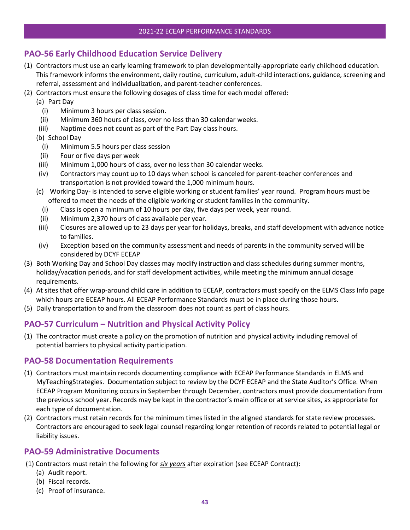# <span id="page-47-0"></span>**PAO-56 Early Childhood Education Service Delivery**

- (1) Contractors must use an early learning framework to plan developmentally-appropriate early childhood education. This framework informs the environment, daily routine, curriculum, adult-child interactions, guidance, screening and referral, assessment and individualization, and parent-teacher conferences.
- (2) Contractors must ensure the following dosages of class time for each model offered:
	- (a) Part Day
		- (i) Minimum 3 hours per class session.
	- (ii) Minimum 360 hours of class, over no less than 30 calendar weeks.
	- (iii) Naptime does not count as part of the Part Day class hours.
	- (b) School Day
		- (i) Minimum 5.5 hours per class session
	- (ii) Four or five days per week
	- (iii) Minimum 1,000 hours of class, over no less than 30 calendar weeks.
	- (iv) Contractors may count up to 10 days when school is canceled for parent-teacher conferences and transportation is not provided toward the 1,000 minimum hours.
	- (c) Working Day- is intended to serve eligible working or student families' year round. Program hours must be offered to meet the needs of the eligible working or student families in the community.
		- (i) Class is open a minimum of 10 hours per day, five days per week, year round.
	- (ii) Minimum 2,370 hours of class available per year.
	- (iii) Closures are allowed up to 23 days per year for holidays, breaks, and staff development with advance notice to families.
	- (iv) Exception based on the community assessment and needs of parents in the community served will be considered by DCYF ECEAP
- (3) Both Working Day and School Day classes may modify instruction and class schedules during summer months, holiday/vacation periods, and for staff development activities, while meeting the minimum annual dosage requirements.
- (4) At sites that offer wrap-around child care in addition to ECEAP, contractors must specify on the ELMS Class Info page which hours are ECEAP hours. All ECEAP Performance Standards must be in place during those hours.
- (5) Daily transportation to and from the classroom does not count as part of class hours.

# <span id="page-47-1"></span>**PAO-57 Curriculum – Nutrition and Physical Activity Policy**

(1) The contractor must create a policy on the promotion of nutrition and physical activity including removal of potential barriers to physical activity participation.

#### <span id="page-47-2"></span>**PAO-58 Documentation Requirements**

- (1) Contractors must maintain records documenting compliance with ECEAP Performance Standards in ELMS and MyTeachingStrategies. Documentation subject to review by the DCYF ECEAP and the State Auditor's Office. When ECEAP Program Monitoring occurs in September through December, contractors must provide documentation from the previous school year. Records may be kept in the contractor's main office or at service sites, as appropriate for each type of documentation.
- (2) Contractors must retain records for the minimum times listed in the aligned standards for state review processes. Contractors are encouraged to seek legal counsel regarding longer retention of records related to potential legal or liability issues.

#### <span id="page-47-3"></span>**PAO-59 Administrative Documents**

- (1) Contractors must retain the following for *six years* after expiration (see ECEAP Contract):
	- (a) Audit report.
	- (b) Fiscal records.
	- (c) Proof of insurance.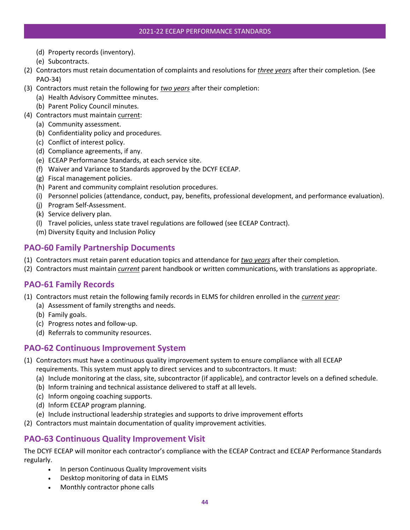- (d) Property records (inventory).
- (e) Subcontracts.
- (2) Contractors must retain documentation of complaints and resolutions for *three years* after their completion. (See PAO-34)
- (3) Contractors must retain the following for *two years* after their completion:
	- (a) Health Advisory Committee minutes.
	- (b) Parent Policy Council minutes.
- (4) Contractors must maintain current:
	- (a) Community assessment.
	- (b) Confidentiality policy and procedures.
	- (c) Conflict of interest policy.
	- (d) Compliance agreements, if any.
	- (e) ECEAP Performance Standards, at each service site.
	- (f) Waiver and Variance to Standards approved by the DCYF ECEAP.
	- (g) Fiscal management policies.
	- (h) Parent and community complaint resolution procedures.
	- (i) Personnel policies (attendance, conduct, pay, benefits, professional development, and performance evaluation).
	- (j) Program Self-Assessment.
	- (k) Service delivery plan.
	- (l) Travel policies, unless state travel regulations are followed (see ECEAP Contract).
	- (m) Diversity Equity and Inclusion Policy

### <span id="page-48-0"></span>**PAO-60 Family Partnership Documents**

- (1) Contractors must retain parent education topics and attendance for *two years* after their completion.
- (2) Contractors must maintain *current* parent handbook or written communications, with translations as appropriate.

#### <span id="page-48-1"></span>**PAO-61 Family Records**

- (1) Contractors must retain the following family records in ELMS for children enrolled in the *current year*:
	- (a) Assessment of family strengths and needs.
	- (b) Family goals.
	- (c) Progress notes and follow-up.
	- (d) Referrals to community resources.

#### <span id="page-48-2"></span>**PAO-62 Continuous Improvement System**

- (1) Contractors must have a continuous quality improvement system to ensure compliance with all ECEAP requirements. This system must apply to direct services and to subcontractors. It must:
	- (a) Include monitoring at the class, site, subcontractor (if applicable), and contractor levels on a defined schedule.
	- (b) Inform training and technical assistance delivered to staff at all levels.
	- (c) Inform ongoing coaching supports.
	- (d) Inform ECEAP program planning.
	- (e) Include instructional leadership strategies and supports to drive improvement efforts
- (2) Contractors must maintain documentation of quality improvement activities.

# <span id="page-48-3"></span>**PAO-63 Continuous Quality Improvement Visit**

The DCYF ECEAP will monitor each contractor's compliance with the ECEAP Contract and ECEAP Performance Standards regularly.

- In person Continuous Quality Improvement visits
- Desktop monitoring of data in ELMS
- Monthly contractor phone calls